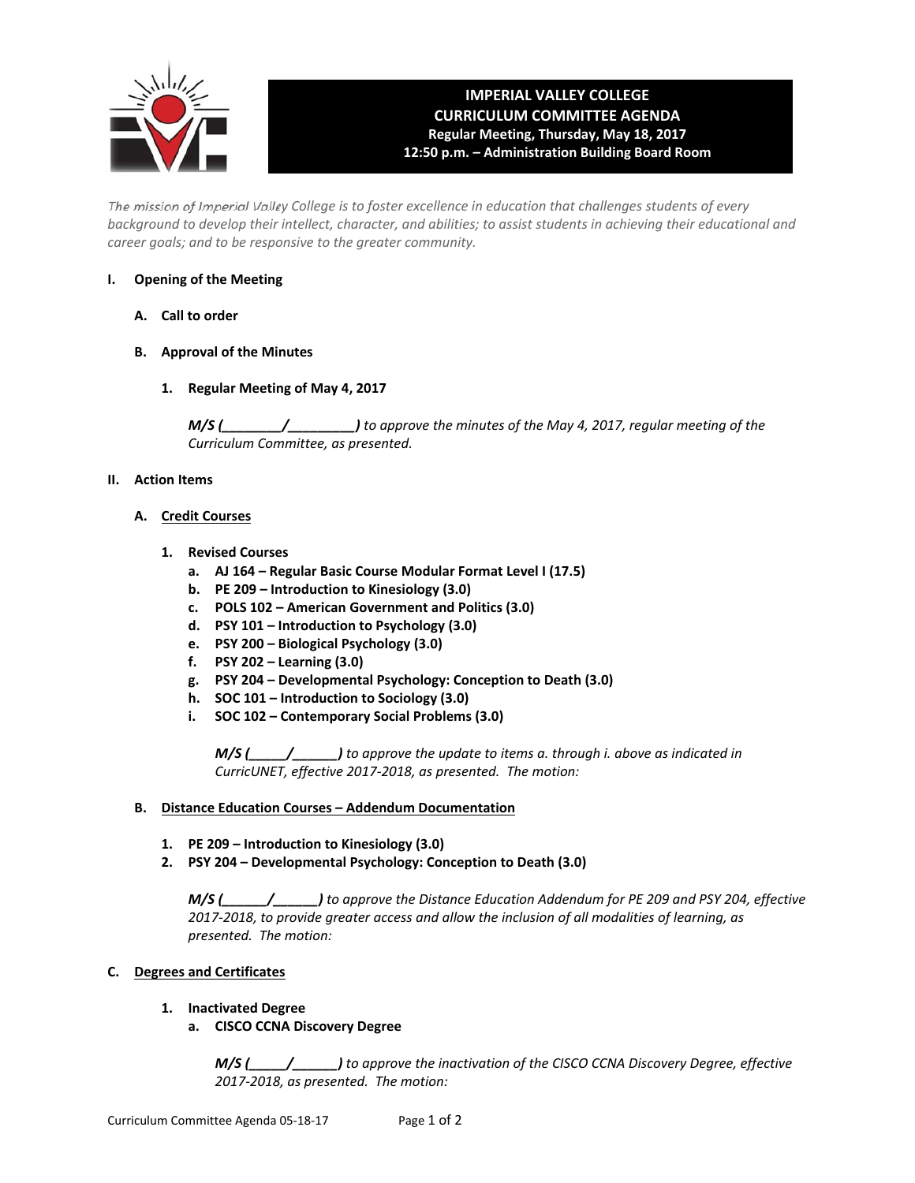

# **IMPERIAL VALLEY COLLEGE CURRICULUM COMMITTEE AGENDA Regular Meeting, Thursday, May 18, 2017 12:50 p.m. – Administration Building Board Room**

The mission of Imperial Valley College is to foster excellence in education that challenges students of every background to develop their intellect, character, and abilities; to assist students in achieving their educational and *career goals; and to be responsive to the greater community.*

## **I. Opening of the Meeting**

- **A. Call to order**
- **B. Approval of the Minutes**
	- **1. Regular Meeting of May 4, 2017**

*M/S (\_\_\_\_\_\_\_\_/\_\_\_\_\_\_\_\_\_) to approve the minutes of the May 4, 2017, regular meeting of the Curriculum Committee, as presented.* 

# **II. Action Items**

# **A. Credit Courses**

- **1. Revised Courses**
	- **a. AJ 164 – Regular Basic Course Modular Format Level I (17.5)**
	- **b. PE 209 – Introduction to Kinesiology (3.0)**
	- **c. POLS 102 – American Government and Politics (3.0)**
	- **d. PSY 101 – Introduction to Psychology (3.0)**
	- **e. PSY 200 – Biological Psychology (3.0)**
	- **f. PSY 202 – Learning (3.0)**
	- **g. PSY 204 – Developmental Psychology: Conception to Death (3.0)**
	- **h. SOC 101 – Introduction to Sociology (3.0)**
	- **i. SOC 102 – Contemporary Social Problems (3.0)**

 *M/S (\_\_\_\_\_/\_\_\_\_\_\_) to approve the update to items a. through i. above as indicated in CurricUNET, effective 2017‐2018, as presented. The motion:*

### **B. Distance Education Courses – Addendum Documentation**

- **1. PE 209 – Introduction to Kinesiology (3.0)**
- **2. PSY 204 – Developmental Psychology: Conception to Death (3.0)**

 *M/S (\_\_\_\_\_\_/\_\_\_\_\_\_) to approve the Distance Education Addendum for PE 209 and PSY 204, effective* 2017-2018, to provide greater access and allow the inclusion of all modalities of learning, as  *presented. The motion:*

# **C. Degrees and Certificates**

### **1. Inactivated Degree**

### **a. CISCO CCNA Discovery Degree**

 *M/S (\_\_\_\_\_/\_\_\_\_\_\_) to approve the inactivation of the CISCO CCNA Discovery Degree, effective 2017‐2018, as presented. The motion:*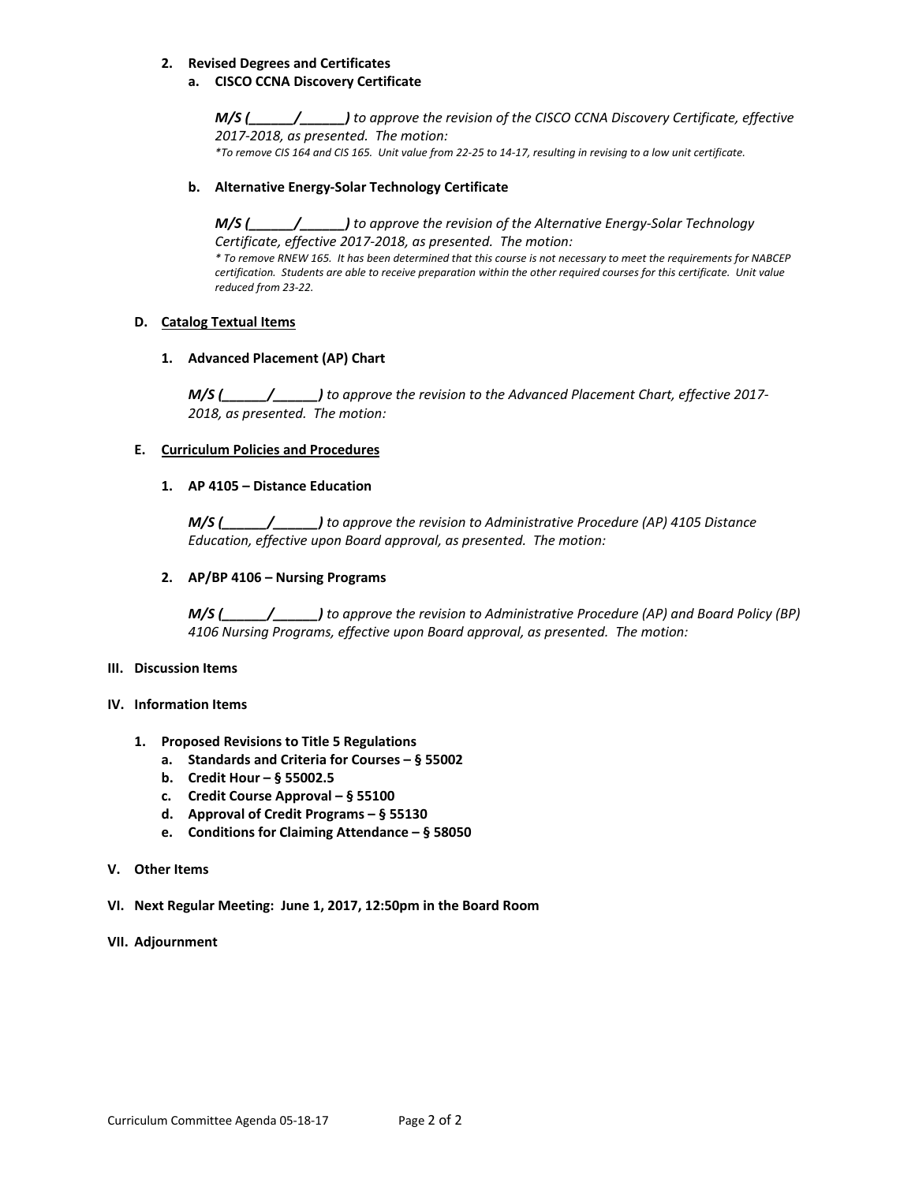#### **2. Revised Degrees and Certificates**

#### **a. CISCO CCNA Discovery Certificate**

 *M/S (\_\_\_\_\_\_/\_\_\_\_\_\_) to approve the revision of the CISCO CCNA Discovery Certificate, effective 2017‐2018, as presented. The motion:* \*To remove CIS 164 and CIS 165. Unit value from 22-25 to 14-17, resulting in revising to a low unit certificate.

## **b. Alternative Energy‐Solar Technology Certificate**

 *M/S (\_\_\_\_\_\_/\_\_\_\_\_\_) to approve the revision of the Alternative Energy‐Solar Technology Certificate, effective 2017‐2018, as presented. The motion:*

\* To remove RNEW 165. It has been determined that this course is not necessary to meet the requirements for NABCEP certification. Students are able to receive preparation within the other required courses for this certificate. Unit value  *reduced from 23‐22.*

#### **D. Catalog Textual Items**

#### **1. Advanced Placement (AP) Chart**

 *M/S (\_\_\_\_\_\_/\_\_\_\_\_\_) to approve the revision to the Advanced Placement Chart, effective 2017‐ 2018, as presented. The motion:*

#### **E. Curriculum Policies and Procedures**

## **1. AP 4105 – Distance Education**

 *M/S (\_\_\_\_\_\_/\_\_\_\_\_\_) to approve the revision to Administrative Procedure (AP) 4105 Distance Education, effective upon Board approval, as presented. The motion:* 

#### **2. AP/BP 4106 – Nursing Programs**

 *M/S (\_\_\_\_\_\_/\_\_\_\_\_\_) to approve the revision to Administrative Procedure (AP) and Board Policy (BP) 4106 Nursing Programs, effective upon Board approval, as presented. The motion:*

#### **III. Discussion Items**

#### **IV. Information Items**

- **1. Proposed Revisions to Title 5 Regulations**
	- **a. Standards and Criteria for Courses – § 55002**
	- **b. Credit Hour – § 55002.5**
	- **c. Credit Course Approval – § 55100**
	- **d. Approval of Credit Programs – § 55130**
	- **e. Conditions for Claiming Attendance – § 58050**
- **V. Other Items**
- **VI. Next Regular Meeting: June 1, 2017, 12:50pm in the Board Room**
- **VII. Adjournment**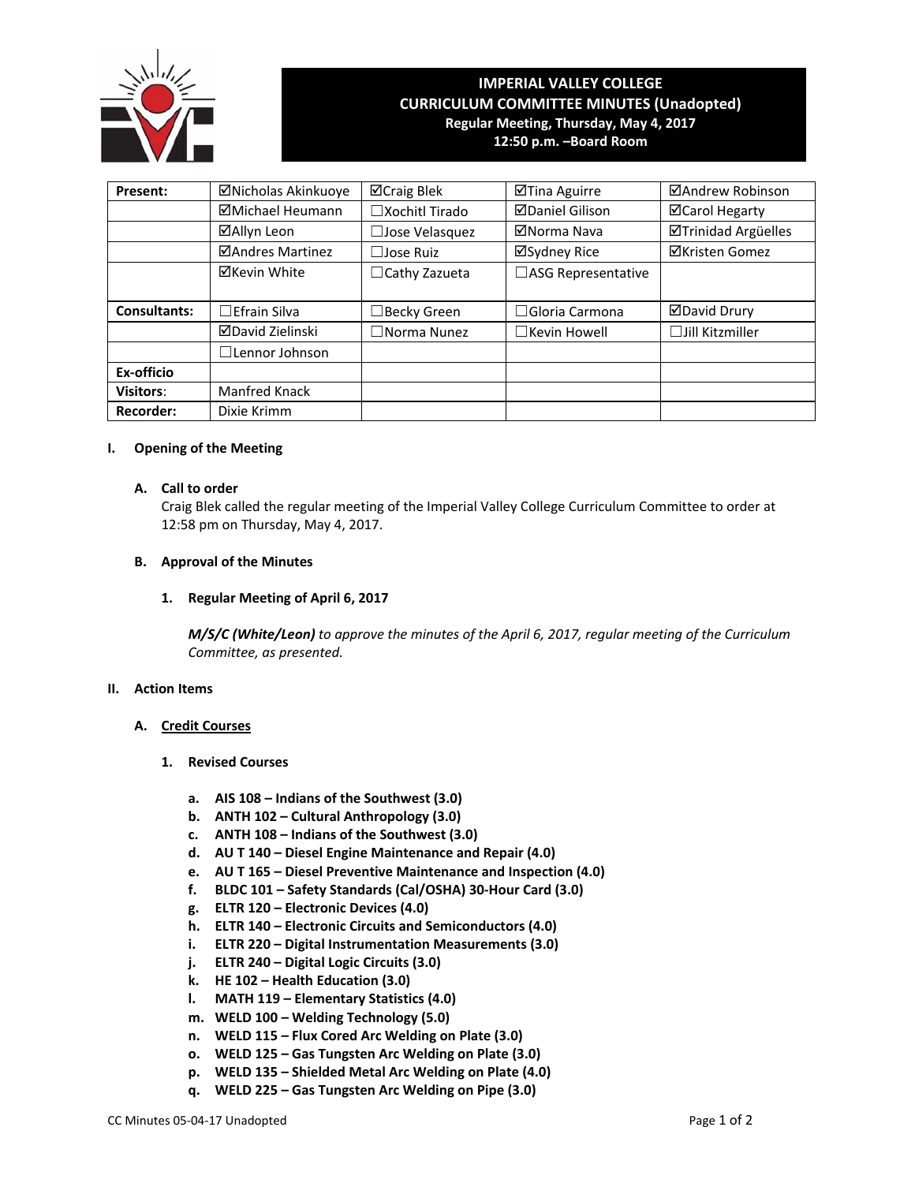

# **IMPERIAL VALLEY COLLEGE CURRICULUM COMMITTEE MINUTES (Unadopted) Regular Meeting, Thursday, May 4, 2017 12:50 p.m. –Board Room**

**Present:** | Micholas Akinkuoye | Mcraig Blek | Mandrew | Mandrew Robinson **ØMichael Heumann** | □Xochitl Tirado | ØDaniel Gilison | ØCarol Hegarty **☑Allyn Leon** │ □Jose Velasquez │ ☑Norma Nava │ ☑Trinidad Argüelles **ØAndres Martinez** │ □Jose Ruiz │ ØSydney Rice │ ØKristen Gomez **⊠Kevin White** │ □Cathy Zazueta │ □ASG Representative Consultants: <del>□Efrain Silva | □Becky Green | □Gloria Carmona | □David Drury</del> David Zielinski ☐Norma Nunez ☐Kevin Howell ☐Jill Kitzmiller ☐Lennor Johnson **Ex‐officio Visitors:** Manfred Knack **Recorder:** Dixie Krimm

#### **I. Opening of the Meeting**

#### **A. Call to order**

Craig Blek called the regular meeting of the Imperial Valley College Curriculum Committee to order at 12:58 pm on Thursday, May 4, 2017.

#### **B. Approval of the Minutes**

#### **1. Regular Meeting of April 6, 2017**

*M/S/C (White/Leon) to approve the minutes of the April 6, 2017, regular meeting of the Curriculum Committee, as presented.* 

#### **II. Action Items**

#### **A. Credit Courses**

- **1. Revised Courses**
	- **a. AIS 108 – Indians of the Southwest (3.0)**
	- **b. ANTH 102 – Cultural Anthropology (3.0)**
	- **c. ANTH 108 – Indians of the Southwest (3.0)**
	- **d. AU T 140 – Diesel Engine Maintenance and Repair (4.0)**
	- **e. AU T 165 – Diesel Preventive Maintenance and Inspection (4.0)**
	- **f. BLDC 101 – Safety Standards (Cal/OSHA) 30‐Hour Card (3.0)**
	- **g. ELTR 120 – Electronic Devices (4.0)**
	- **h. ELTR 140 – Electronic Circuits and Semiconductors (4.0)**
	- **i. ELTR 220 – Digital Instrumentation Measurements (3.0)**
	- **j. ELTR 240 – Digital Logic Circuits (3.0)**
	- **k. HE 102 – Health Education (3.0)**
	- **l. MATH 119 – Elementary Statistics (4.0)**
	- **m. WELD 100 – Welding Technology (5.0)**
	- **n. WELD 115 – Flux Cored Arc Welding on Plate (3.0)**
	- **o. WELD 125 – Gas Tungsten Arc Welding on Plate (3.0)**
	- **p. WELD 135 – Shielded Metal Arc Welding on Plate (4.0)**
	- **q. WELD 225 – Gas Tungsten Arc Welding on Pipe (3.0)**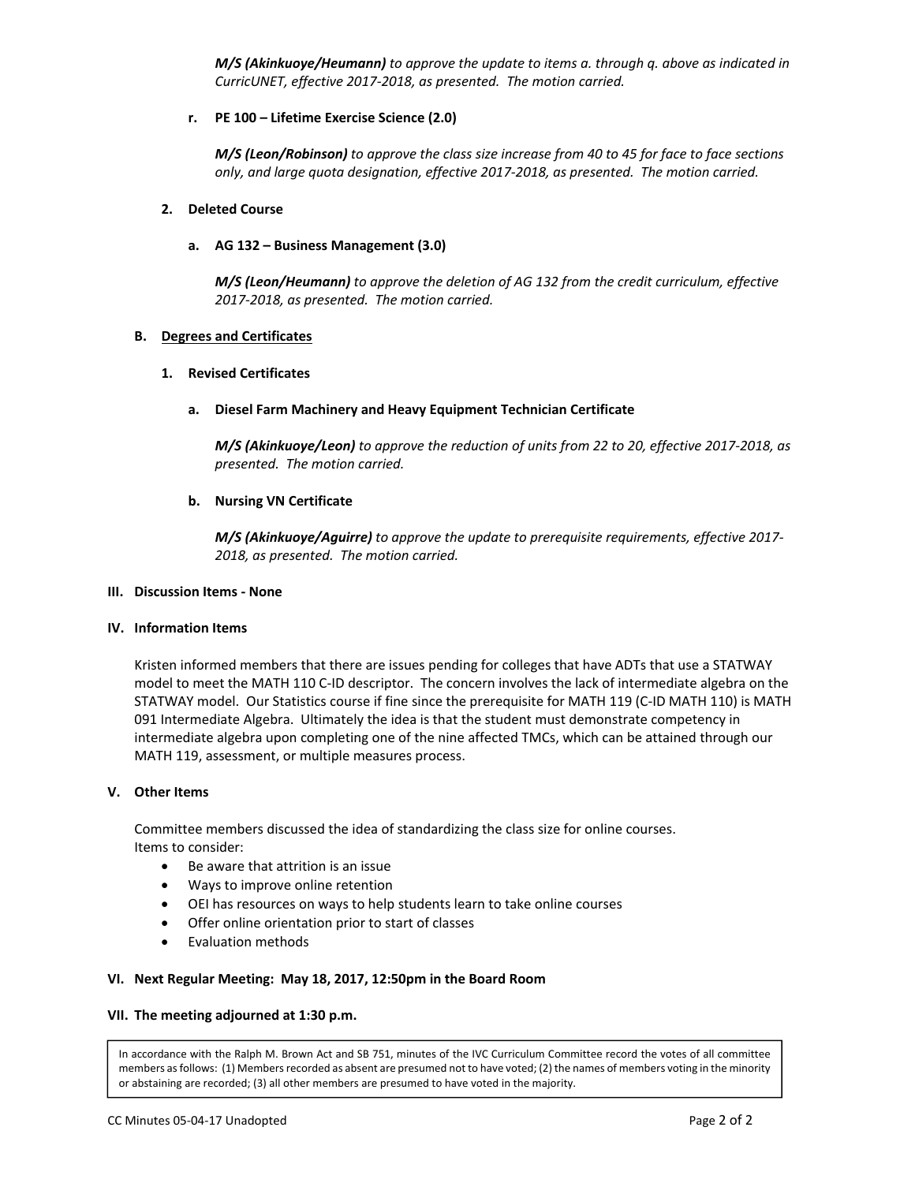*M/S (Akinkuoye/Heumann) to approve the update to items a. through q. above as indicated in CurricUNET, effective 2017‐2018, as presented. The motion carried.*

#### **r. PE 100 – Lifetime Exercise Science (2.0)**

M/S (Leon/Robinson) to approve the class size increase from 40 to 45 for face to face sections  *only, and large quota designation, effective 2017‐2018, as presented. The motion carried.*

#### **2. Deleted Course**

#### **a. AG 132 – Business Management (3.0)**

 *M/S (Leon/Heumann) to approve the deletion of AG 132 from the credit curriculum, effective 2017‐2018, as presented. The motion carried.*

#### **B. Degrees and Certificates**

#### **1. Revised Certificates**

#### **a. Diesel Farm Machinery and Heavy Equipment Technician Certificate**

M/S (Akinkuoye/Leon) to approve the reduction of units from 22 to 20, effective 2017-2018, as  *presented. The motion carried.*

#### **b. Nursing VN Certificate**

*M/S (Akinkuoye/Aguirre) to approve the update to prerequisite requirements, effective 2017‐ 2018, as presented. The motion carried.*

#### **III. Discussion Items ‐ None**

#### **IV. Information Items**

Kristen informed members that there are issues pending for colleges that have ADTs that use a STATWAY model to meet the MATH 110 C‐ID descriptor. The concern involves the lack of intermediate algebra on the STATWAY model. Our Statistics course if fine since the prerequisite for MATH 119 (C‐ID MATH 110) is MATH 091 Intermediate Algebra. Ultimately the idea is that the student must demonstrate competency in intermediate algebra upon completing one of the nine affected TMCs, which can be attained through our MATH 119, assessment, or multiple measures process.

#### **V. Other Items**

Committee members discussed the idea of standardizing the class size for online courses. Items to consider:

- Be aware that attrition is an issue
- Ways to improve online retention
- OEI has resources on ways to help students learn to take online courses
- Offer online orientation prior to start of classes
- Evaluation methods

#### **VI. Next Regular Meeting: May 18, 2017, 12:50pm in the Board Room**

#### **VII. The meeting adjourned at 1:30 p.m.**

In accordance with the Ralph M. Brown Act and SB 751, minutes of the IVC Curriculum Committee record the votes of all committee members as follows: (1) Members recorded as absent are presumed not to have voted; (2) the names of members voting in the minority or abstaining are recorded; (3) all other members are presumed to have voted in the majority.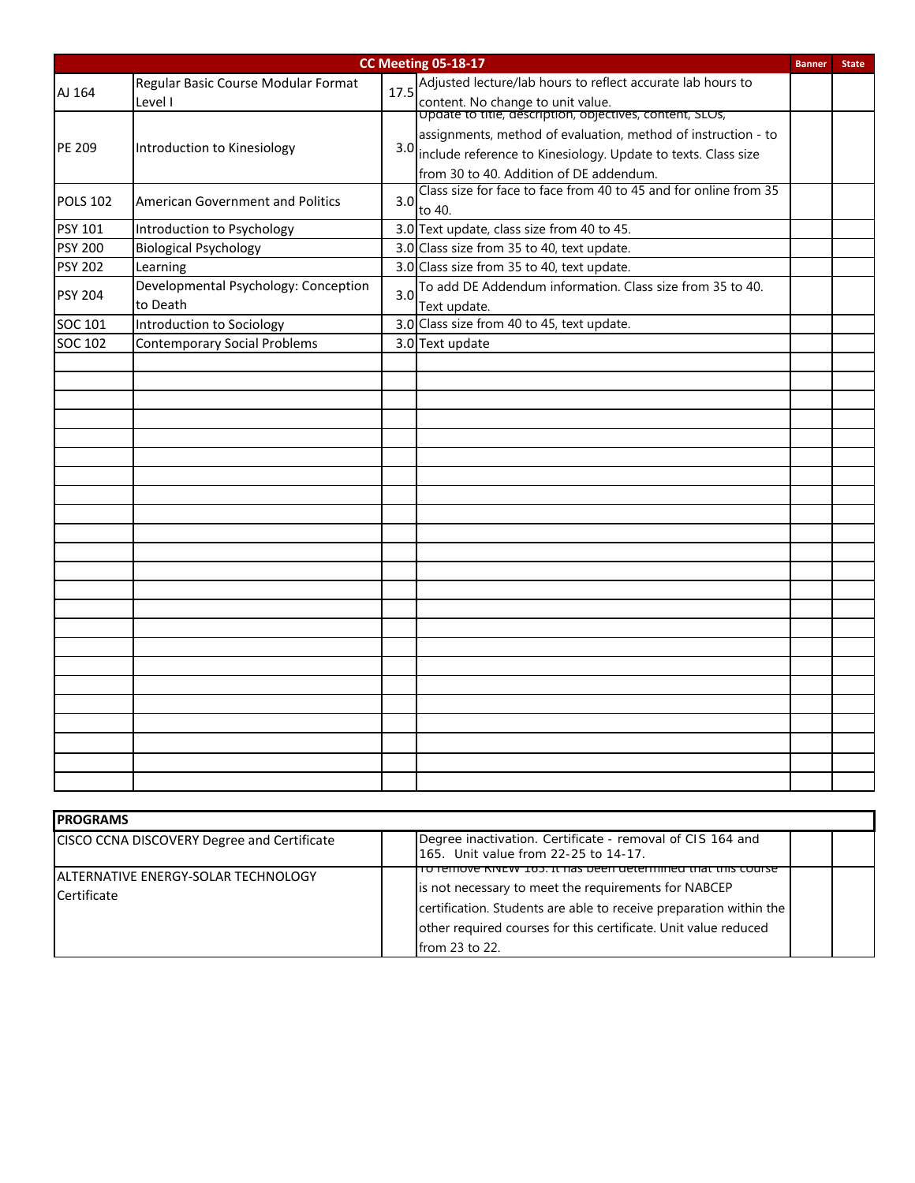| <b>CC Meeting 05-18-17</b> |                                                  |                  |                                                                                                                                                                               |  | <b>State</b> |
|----------------------------|--------------------------------------------------|------------------|-------------------------------------------------------------------------------------------------------------------------------------------------------------------------------|--|--------------|
| AJ 164                     | Regular Basic Course Modular Format<br>Level I   |                  | 17.5 Adjusted lecture/lab hours to reflect accurate lab hours to<br>content. No change to unit value.<br> Update to title, description, objectives, content, SLUs,            |  |              |
| PE 209                     | Introduction to Kinesiology                      |                  | assignments, method of evaluation, method of instruction - to<br>3.0 include reference to Kinesiology. Update to texts. Class size<br>from 30 to 40. Addition of DE addendum. |  |              |
| <b>POLS 102</b>            | <b>American Government and Politics</b>          | 3.0 <sub>l</sub> | Class size for face to face from 40 to 45 and for online from 35<br>to 40.                                                                                                    |  |              |
| <b>PSY 101</b>             | Introduction to Psychology                       |                  | 3.0 Text update, class size from 40 to 45.                                                                                                                                    |  |              |
| <b>PSY 200</b>             | <b>Biological Psychology</b>                     |                  | 3.0 Class size from 35 to 40, text update.                                                                                                                                    |  |              |
| <b>PSY 202</b>             | Learning                                         |                  | 3.0 Class size from 35 to 40, text update.                                                                                                                                    |  |              |
| <b>PSY 204</b>             | Developmental Psychology: Conception<br>to Death | 3.0              | To add DE Addendum information. Class size from 35 to 40.<br>Text update.                                                                                                     |  |              |
| SOC 101                    | Introduction to Sociology                        |                  | 3.0 Class size from 40 to 45, text update.                                                                                                                                    |  |              |
| SOC 102                    | <b>Contemporary Social Problems</b>              |                  | 3.0 Text update                                                                                                                                                               |  |              |
|                            |                                                  |                  |                                                                                                                                                                               |  |              |
|                            |                                                  |                  |                                                                                                                                                                               |  |              |
|                            |                                                  |                  |                                                                                                                                                                               |  |              |
|                            |                                                  |                  |                                                                                                                                                                               |  |              |
|                            |                                                  |                  |                                                                                                                                                                               |  |              |
|                            |                                                  |                  |                                                                                                                                                                               |  |              |
|                            |                                                  |                  |                                                                                                                                                                               |  |              |
|                            |                                                  |                  |                                                                                                                                                                               |  |              |
|                            |                                                  |                  |                                                                                                                                                                               |  |              |
|                            |                                                  |                  |                                                                                                                                                                               |  |              |
|                            |                                                  |                  |                                                                                                                                                                               |  |              |
|                            |                                                  |                  |                                                                                                                                                                               |  |              |
|                            |                                                  |                  |                                                                                                                                                                               |  |              |
|                            |                                                  |                  |                                                                                                                                                                               |  |              |
|                            |                                                  |                  |                                                                                                                                                                               |  |              |
|                            |                                                  |                  |                                                                                                                                                                               |  |              |
|                            |                                                  |                  |                                                                                                                                                                               |  |              |
|                            |                                                  |                  |                                                                                                                                                                               |  |              |
|                            |                                                  |                  |                                                                                                                                                                               |  |              |
|                            |                                                  |                  |                                                                                                                                                                               |  |              |
|                            |                                                  |                  |                                                                                                                                                                               |  |              |
|                            |                                                  |                  |                                                                                                                                                                               |  |              |
|                            |                                                  |                  |                                                                                                                                                                               |  |              |

| <b>IPROGRAMS</b>                                           |                                                                                                                                                                                                                                                                                           |  |  |  |
|------------------------------------------------------------|-------------------------------------------------------------------------------------------------------------------------------------------------------------------------------------------------------------------------------------------------------------------------------------------|--|--|--|
| CISCO CCNA DISCOVERY Degree and Certificate                | Degree inactivation. Certificate - removal of CIS 164 and<br>165. Unit value from 22-25 to 14-17.                                                                                                                                                                                         |  |  |  |
| <b>IALTERNATIVE ENERGY-SOLAR TECHNOLOGY</b><br>Certificate | <u> iTiove KiveW 105. It has been determined that this course</u><br>is not necessary to meet the requirements for NABCEP<br>certification. Students are able to receive preparation within the<br>other required courses for this certificate. Unit value reduced<br>from $23$ to $22$ . |  |  |  |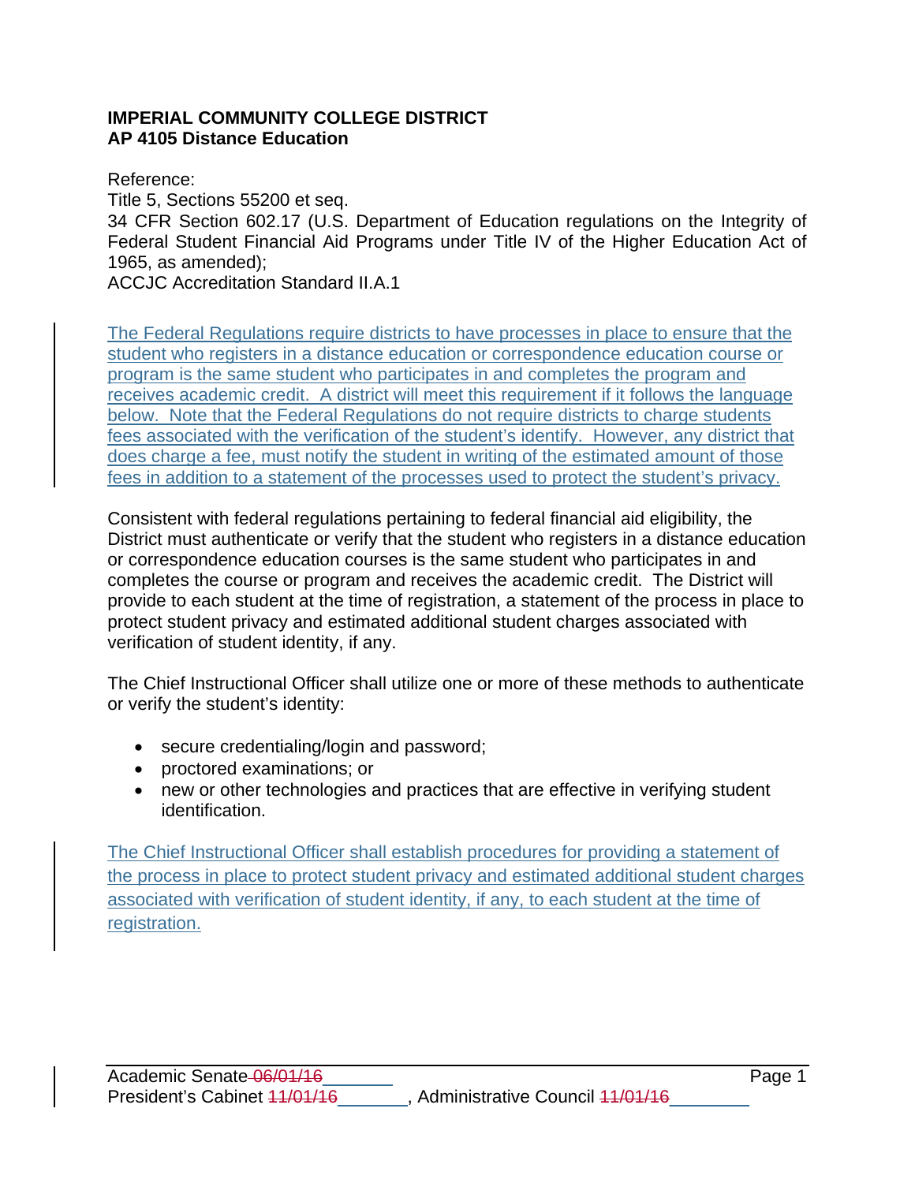# **IMPERIAL COMMUNITY COLLEGE DISTRICT AP 4105 Distance Education**

Reference: Title 5, Sections 55200 et seq. 34 CFR Section 602.17 (U.S. Department of Education regulations on the Integrity of Federal Student Financial Aid Programs under Title IV of the Higher Education Act of 1965, as amended); ACCJC Accreditation Standard II.A.1

The Federal Regulations require districts to have processes in place to ensure that the student who registers in a distance education or correspondence education course or program is the same student who participates in and completes the program and receives academic credit. A district will meet this requirement if it follows the language below. Note that the Federal Regulations do not require districts to charge students fees associated with the verification of the student's identify. However, any district that does charge a fee, must notify the student in writing of the estimated amount of those fees in addition to a statement of the processes used to protect the student's privacy.

Consistent with federal regulations pertaining to federal financial aid eligibility, the District must authenticate or verify that the student who registers in a distance education or correspondence education courses is the same student who participates in and completes the course or program and receives the academic credit. The District will provide to each student at the time of registration, a statement of the process in place to protect student privacy and estimated additional student charges associated with verification of student identity, if any.

The Chief Instructional Officer shall utilize one or more of these methods to authenticate or verify the student's identity:

- secure credentialing/login and password;
- proctored examinations; or
- new or other technologies and practices that are effective in verifying student identification.

The Chief Instructional Officer shall establish procedures for providing a statement of the process in place to protect student privacy and estimated additional student charges associated with verification of student identity, if any, to each student at the time of registration.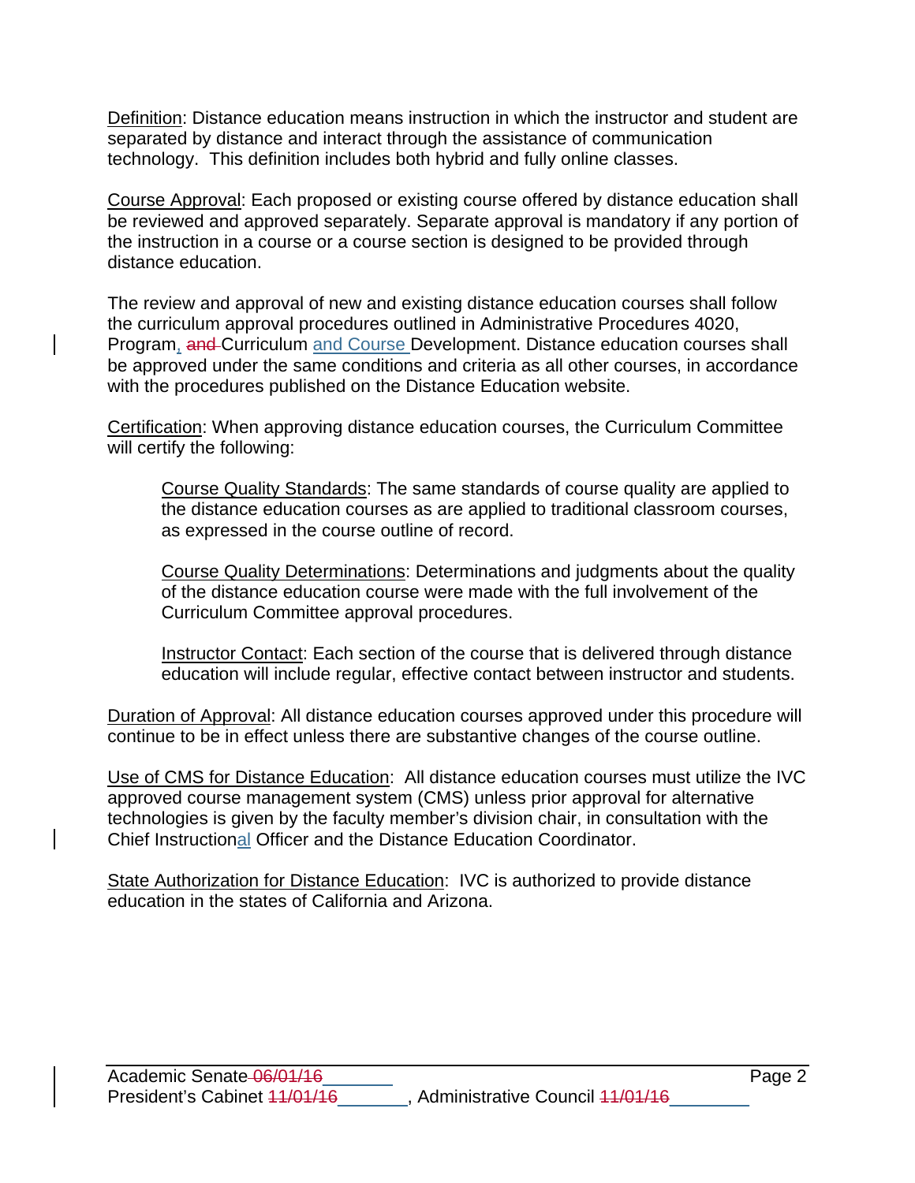Definition: Distance education means instruction in which the instructor and student are separated by distance and interact through the assistance of communication technology. This definition includes both hybrid and fully online classes.

Course Approval: Each proposed or existing course offered by distance education shall be reviewed and approved separately. Separate approval is mandatory if any portion of the instruction in a course or a course section is designed to be provided through distance education.

The review and approval of new and existing distance education courses shall follow the curriculum approval procedures outlined in Administrative Procedures 4020, Program, and Curriculum and Course Development. Distance education courses shall be approved under the same conditions and criteria as all other courses, in accordance with the procedures published on the Distance Education website.

Certification: When approving distance education courses, the Curriculum Committee will certify the following:

Course Quality Standards: The same standards of course quality are applied to the distance education courses as are applied to traditional classroom courses, as expressed in the course outline of record.

Course Quality Determinations: Determinations and judgments about the quality of the distance education course were made with the full involvement of the Curriculum Committee approval procedures.

Instructor Contact: Each section of the course that is delivered through distance education will include regular, effective contact between instructor and students.

Duration of Approval: All distance education courses approved under this procedure will continue to be in effect unless there are substantive changes of the course outline.

Use of CMS for Distance Education: All distance education courses must utilize the IVC approved course management system (CMS) unless prior approval for alternative technologies is given by the faculty member's division chair, in consultation with the Chief Instructional Officer and the Distance Education Coordinator.

State Authorization for Distance Education: IVC is authorized to provide distance education in the states of California and Arizona.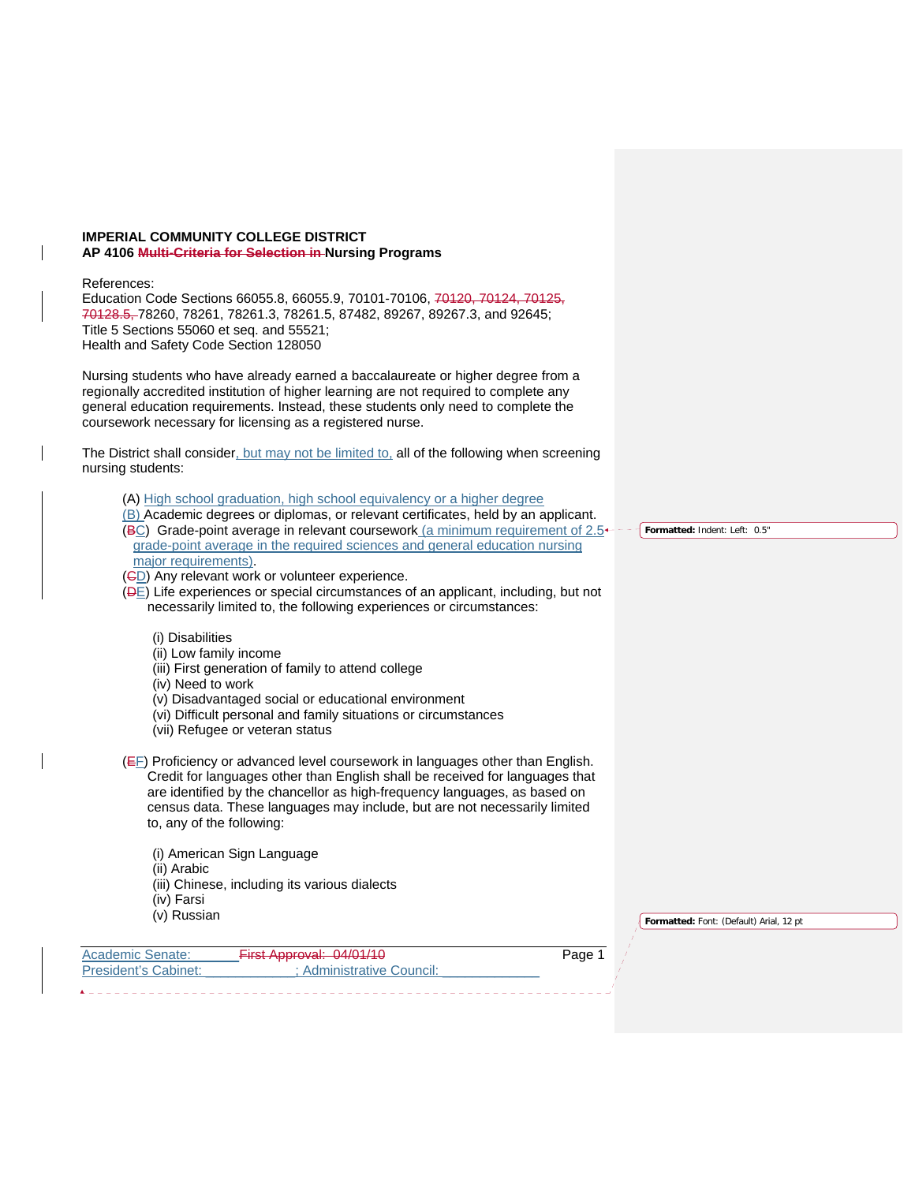#### **IMPERIAL COMMUNITY COLLEGE DISTRICT AP 4106 Multi-Criteria for Selection in Nursing Programs**

#### References:

Education Code Sections 66055.8, 66055.9, 70101-70106, 70120, 70124, 70125, 70128.5, 78260, 78261, 78261.3, 78261.5, 87482, 89267, 89267.3, and 92645; Title 5 Sections 55060 et seq. and 55521; Health and Safety Code Section 128050

Nursing students who have already earned a baccalaureate or higher degree from a regionally accredited institution of higher learning are not required to complete any general education requirements. Instead, these students only need to complete the coursework necessary for licensing as a registered nurse.

The District shall consider, but may not be limited to, all of the following when screening nursing students:

- (A) High school graduation, high school equivalency or a higher degree
- (B) Academic degrees or diplomas, or relevant certificates, held by an applicant.
- (BC) Grade-point average in relevant coursework (a minimum requirement of  $2.5<sup>+</sup>$ grade-point average in the required sciences and general education nursing major requirements).
- (CD) Any relevant work or volunteer experience.
- (DE) Life experiences or special circumstances of an applicant, including, but not necessarily limited to, the following experiences or circumstances:
	- (i) Disabilities
	- (ii) Low family income
	- (iii) First generation of family to attend college
	- (iv) Need to work
	- (v) Disadvantaged social or educational environment
	- (vi) Difficult personal and family situations or circumstances
	- (vii) Refugee or veteran status

(EF) Proficiency or advanced level coursework in languages other than English. Credit for languages other than English shall be received for languages that are identified by the chancellor as high-frequency languages, as based on census data. These languages may include, but are not necessarily limited to, any of the following:

- (i) American Sign Language
- (ii) Arabic
- (iii) Chinese, including its various dialects
- (iv) Farsi
- (v) Russian

| <b>Academic Senate:</b> | $First$ Approval: $04/01/10$<br><del>טוויט. וואטוקונדה ה</del> | Page 1 |
|-------------------------|----------------------------------------------------------------|--------|
| President's Cabinet:    | : Administrative Council:                                      |        |

**Formatted:** Indent: Left: 0.5"

**Formatted:** Font: (Default) Arial, 12 pt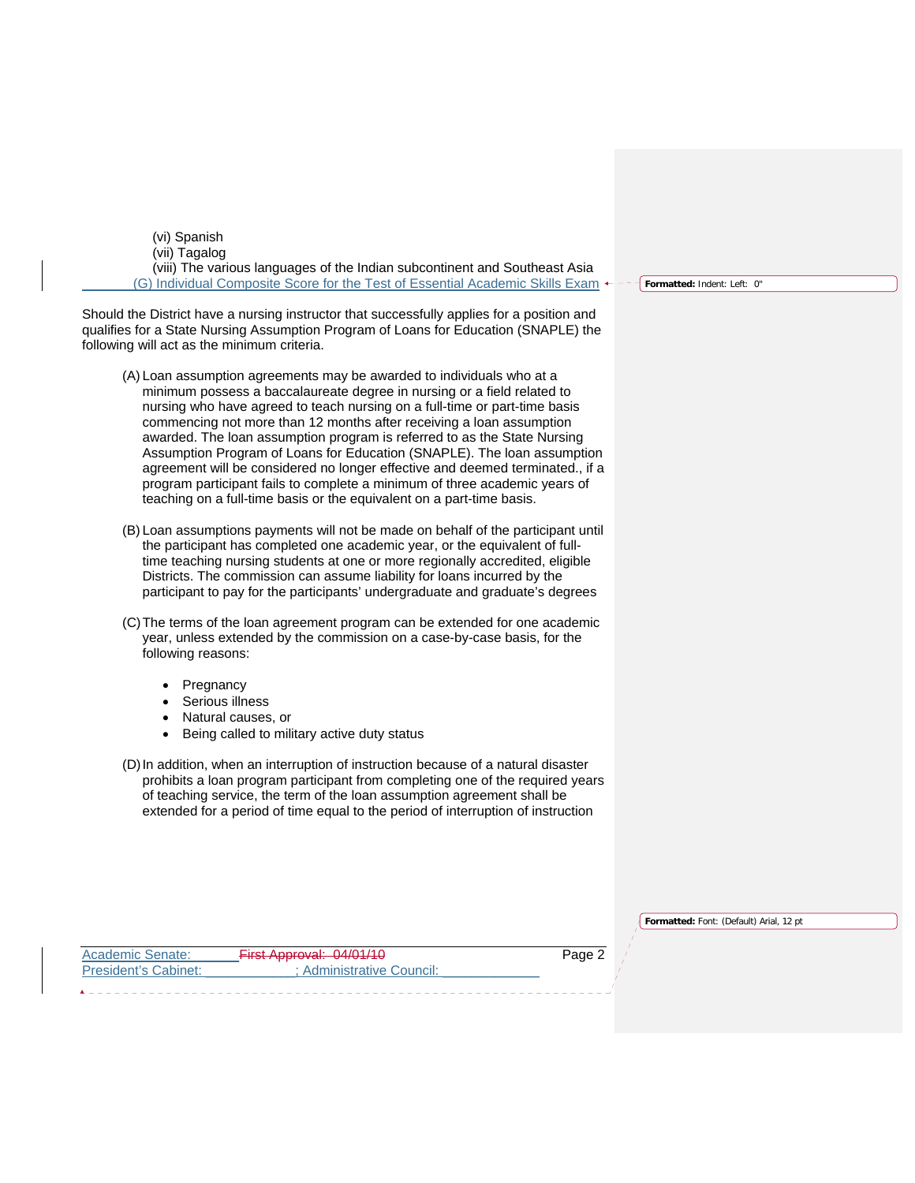(vi) Spanish (vii) Tagalog (viii) The various languages of the Indian subcontinent and Southeast Asia (G) Individual Composite Score for the Test of Essential Academic Skills Exam

Should the District have a nursing instructor that successfully applies for a position and qualifies for a State Nursing Assumption Program of Loans for Education (SNAPLE) the following will act as the minimum criteria.

- (A) Loan assumption agreements may be awarded to individuals who at a minimum possess a baccalaureate degree in nursing or a field related to nursing who have agreed to teach nursing on a full-time or part-time basis commencing not more than 12 months after receiving a loan assumption awarded. The loan assumption program is referred to as the State Nursing Assumption Program of Loans for Education (SNAPLE). The loan assumption agreement will be considered no longer effective and deemed terminated., if a program participant fails to complete a minimum of three academic years of teaching on a full-time basis or the equivalent on a part-time basis.
- (B) Loan assumptions payments will not be made on behalf of the participant until the participant has completed one academic year, or the equivalent of fulltime teaching nursing students at one or more regionally accredited, eligible Districts. The commission can assume liability for loans incurred by the participant to pay for the participants' undergraduate and graduate's degrees
- (C) The terms of the loan agreement program can be extended for one academic year, unless extended by the commission on a case-by-case basis, for the following reasons:
	- Pregnancy
	- Serious illness
	- Natural causes, or
	- Being called to military active duty status
- (D) In addition, when an interruption of instruction because of a natural disaster prohibits a loan program participant from completing one of the required years of teaching service, the term of the loan assumption agreement shall be extended for a period of time equal to the period of interruption of instruction

| Formatted: Font: (Default) Arial, 12 pt |  |  |  |
|-----------------------------------------|--|--|--|
|                                         |  |  |  |

Academic Senate:  $\frac{3}{2}$  First Approval: 04/01/10 Page 2 President's Cabinet: \_\_\_\_\_\_\_\_\_\_\_; Administrative Council:

**Formatted:** Indent: Left: 0"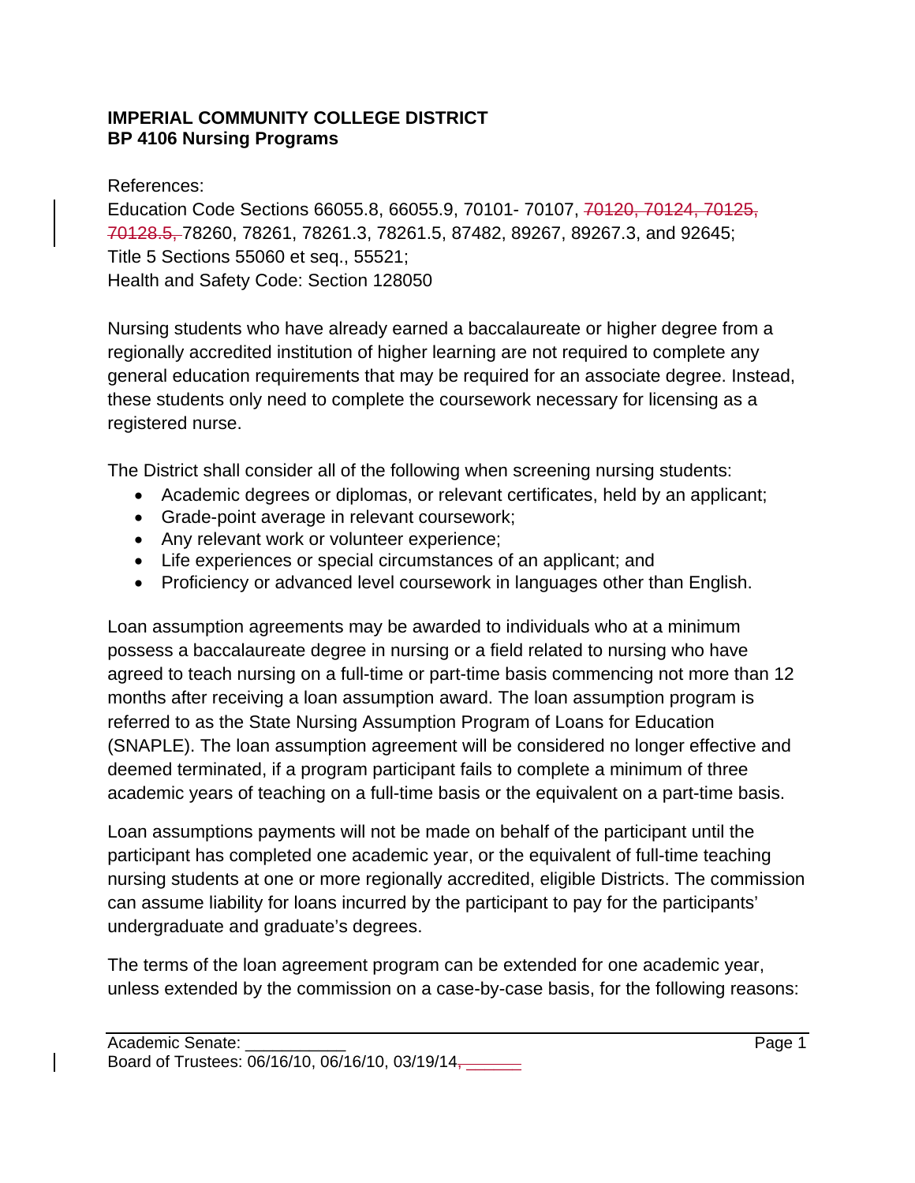# **IMPERIAL COMMUNITY COLLEGE DISTRICT BP 4106 Nursing Programs**

References:

Education Code Sections 66055.8, 66055.9, 70101- 70107, 70120, 70124, 70125, 70128.5, 78260, 78261, 78261.3, 78261.5, 87482, 89267, 89267.3, and 92645; Title 5 Sections 55060 et seq., 55521; Health and Safety Code: Section 128050

Nursing students who have already earned a baccalaureate or higher degree from a regionally accredited institution of higher learning are not required to complete any general education requirements that may be required for an associate degree. Instead, these students only need to complete the coursework necessary for licensing as a registered nurse.

The District shall consider all of the following when screening nursing students:

- Academic degrees or diplomas, or relevant certificates, held by an applicant;
- Grade-point average in relevant coursework;
- Any relevant work or volunteer experience;
- Life experiences or special circumstances of an applicant; and
- Proficiency or advanced level coursework in languages other than English.

Loan assumption agreements may be awarded to individuals who at a minimum possess a baccalaureate degree in nursing or a field related to nursing who have agreed to teach nursing on a full-time or part-time basis commencing not more than 12 months after receiving a loan assumption award. The loan assumption program is referred to as the State Nursing Assumption Program of Loans for Education (SNAPLE). The loan assumption agreement will be considered no longer effective and deemed terminated, if a program participant fails to complete a minimum of three academic years of teaching on a full-time basis or the equivalent on a part-time basis.

Loan assumptions payments will not be made on behalf of the participant until the participant has completed one academic year, or the equivalent of full-time teaching nursing students at one or more regionally accredited, eligible Districts. The commission can assume liability for loans incurred by the participant to pay for the participants' undergraduate and graduate's degrees.

The terms of the loan agreement program can be extended for one academic year, unless extended by the commission on a case-by-case basis, for the following reasons: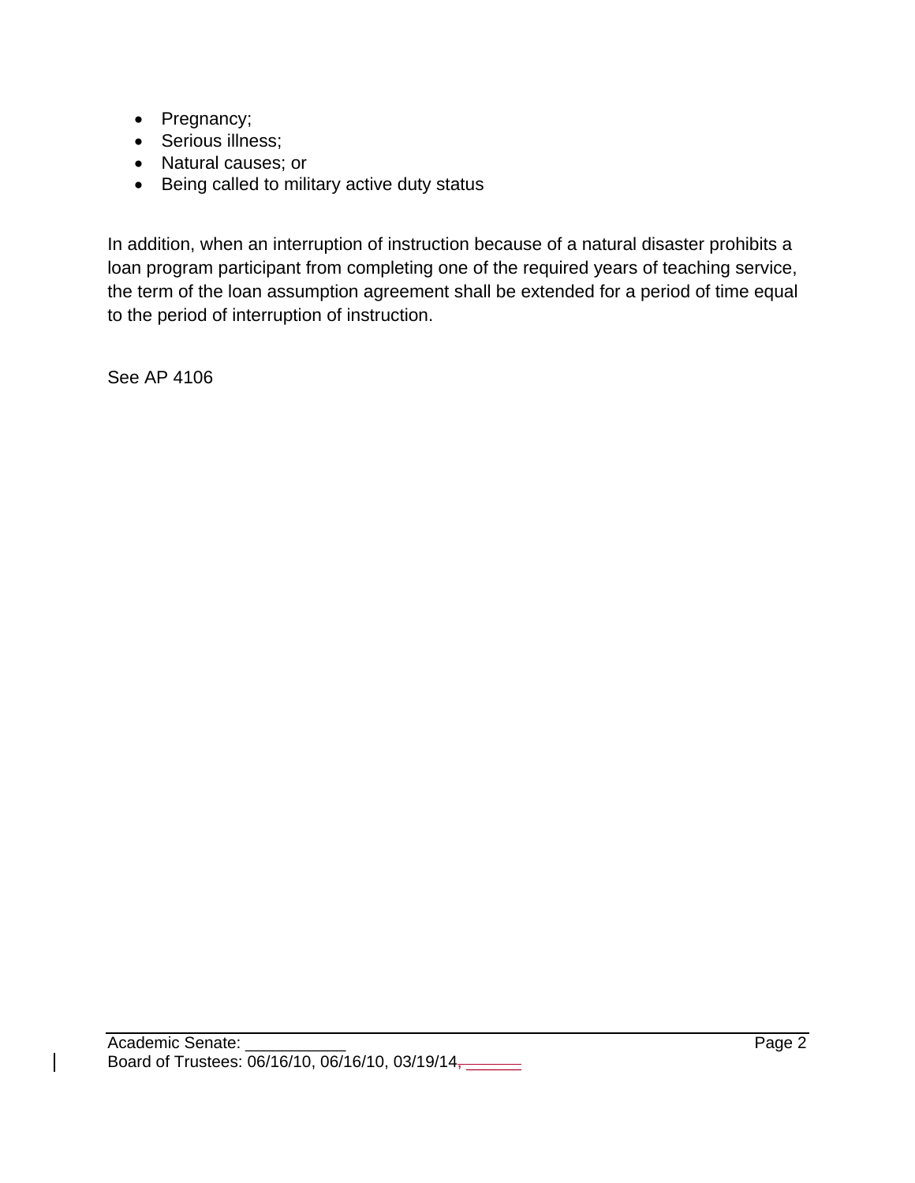- Pregnancy;
- Serious illness;
- Natural causes; or
- Being called to military active duty status

In addition, when an interruption of instruction because of a natural disaster prohibits a loan program participant from completing one of the required years of teaching service, the term of the loan assumption agreement shall be extended for a period of time equal to the period of interruption of instruction.

See AP 4106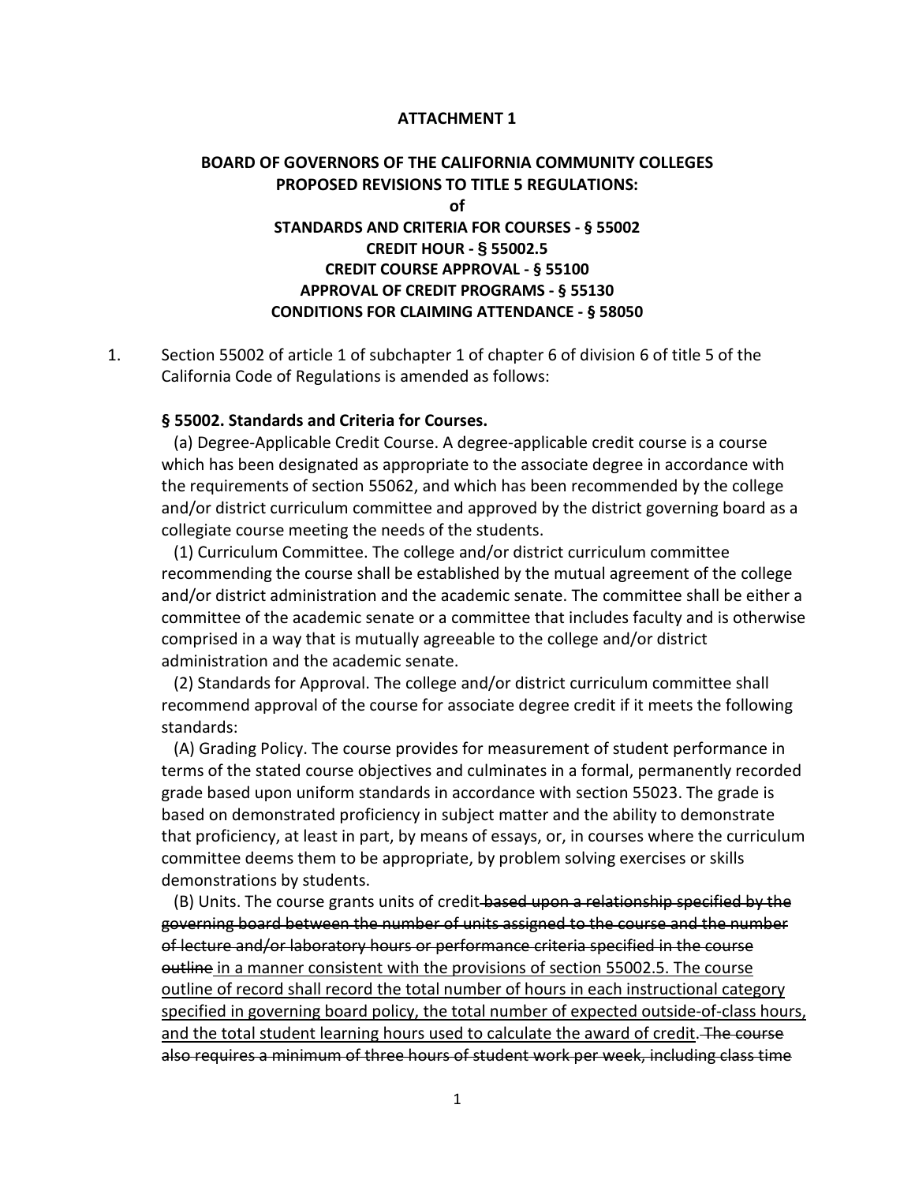## **ATTACHMENT 1**

# **BOARD OF GOVERNORS OF THE CALIFORNIA COMMUNITY COLLEGES PROPOSED REVISIONS TO TITLE 5 REGULATIONS: of STANDARDS AND CRITERIA FOR COURSES - § 55002 CREDIT HOUR - § 55002.5 CREDIT COURSE APPROVAL - § 55100 APPROVAL OF CREDIT PROGRAMS - § 55130 CONDITIONS FOR CLAIMING ATTENDANCE - § 58050**

1. Section 55002 of article 1 of subchapter 1 of chapter 6 of division 6 of title 5 of the California Code of Regulations is amended as follows:

# **§ 55002. Standards and Criteria for Courses.**

 (a) Degree-Applicable Credit Course. A degree-applicable credit course is a course which has been designated as appropriate to the associate degree in accordance with the requirements of section 55062, and which has been recommended by the college and/or district curriculum committee and approved by the district governing board as a collegiate course meeting the needs of the students.

 (1) Curriculum Committee. The college and/or district curriculum committee recommending the course shall be established by the mutual agreement of the college and/or district administration and the academic senate. The committee shall be either a committee of the academic senate or a committee that includes faculty and is otherwise comprised in a way that is mutually agreeable to the college and/or district administration and the academic senate.

 (2) Standards for Approval. The college and/or district curriculum committee shall recommend approval of the course for associate degree credit if it meets the following standards:

 (A) Grading Policy. The course provides for measurement of student performance in terms of the stated course objectives and culminates in a formal, permanently recorded grade based upon uniform standards in accordance with section 55023. The grade is based on demonstrated proficiency in subject matter and the ability to demonstrate that proficiency, at least in part, by means of essays, or, in courses where the curriculum committee deems them to be appropriate, by problem solving exercises or skills demonstrations by students.

(B) Units. The course grants units of credit based upon a relationship specified by the governing board between the number of units assigned to the course and the number of lecture and/or laboratory hours or performance criteria specified in the course outline in a manner consistent with the provisions of section 55002.5. The course outline of record shall record the total number of hours in each instructional category specified in governing board policy, the total number of expected outside-of-class hours, and the total student learning hours used to calculate the award of credit. The course also requires a minimum of three hours of student work per week, including class time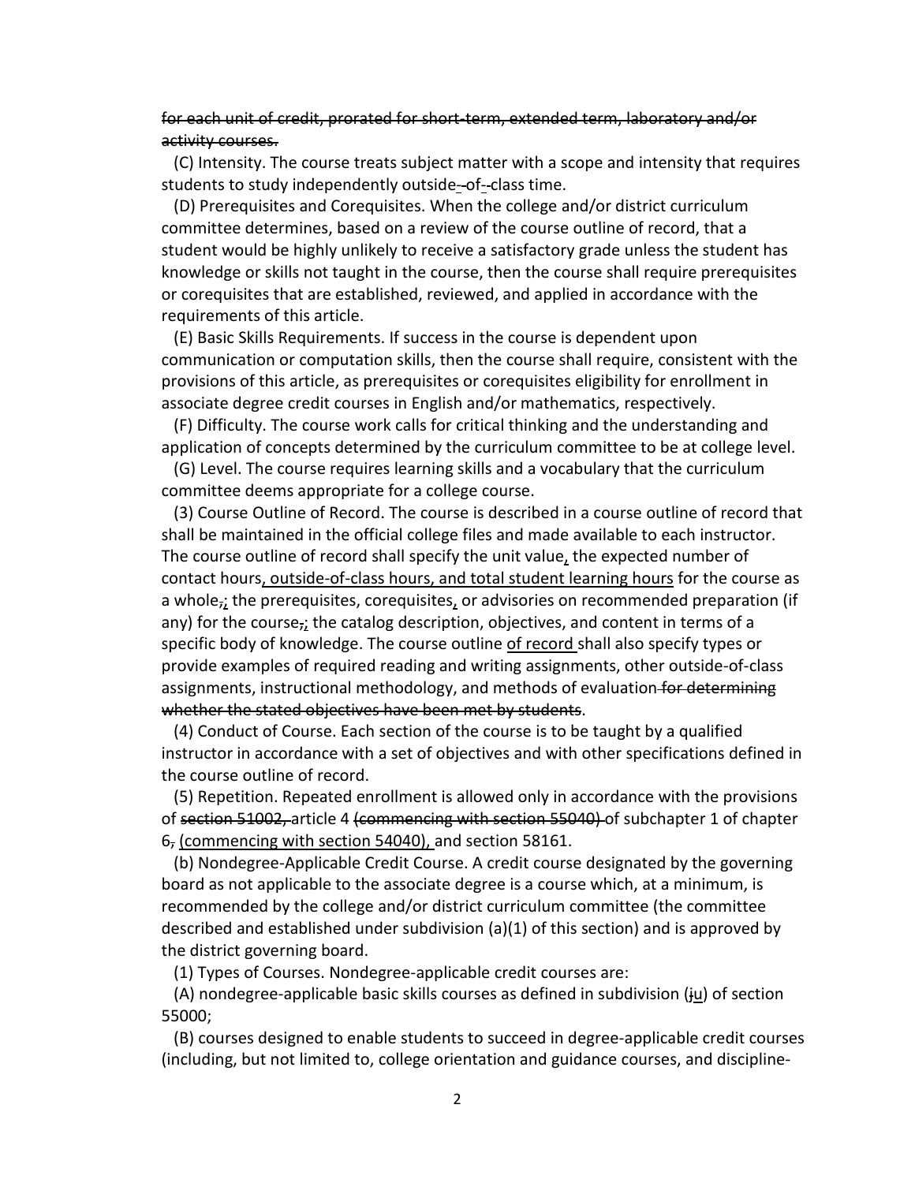# for each unit of credit, prorated for short-term, extended term, laboratory and/or activity courses.

 (C) Intensity. The course treats subject matter with a scope and intensity that requires students to study independently outside--of--class time.

 (D) Prerequisites and Corequisites. When the college and/or district curriculum committee determines, based on a review of the course outline of record, that a student would be highly unlikely to receive a satisfactory grade unless the student has knowledge or skills not taught in the course, then the course shall require prerequisites or corequisites that are established, reviewed, and applied in accordance with the requirements of this article.

 (E) Basic Skills Requirements. If success in the course is dependent upon communication or computation skills, then the course shall require, consistent with the provisions of this article, as prerequisites or corequisites eligibility for enrollment in associate degree credit courses in English and/or mathematics, respectively.

 (F) Difficulty. The course work calls for critical thinking and the understanding and application of concepts determined by the curriculum committee to be at college level.

 (G) Level. The course requires learning skills and a vocabulary that the curriculum committee deems appropriate for a college course.

 (3) Course Outline of Record. The course is described in a course outline of record that shall be maintained in the official college files and made available to each instructor. The course outline of record shall specify the unit value, the expected number of contact hours, outside-of-class hours, and total student learning hours for the course as a whole $_{7i}$  the prerequisites, corequisites, or advisories on recommended preparation (if any) for the course $\frac{1}{2}$  the catalog description, objectives, and content in terms of a specific body of knowledge. The course outline of record shall also specify types or provide examples of required reading and writing assignments, other outside-of-class assignments, instructional methodology, and methods of evaluation for determining whether the stated objectives have been met by students.

 (4) Conduct of Course. Each section of the course is to be taught by a qualified instructor in accordance with a set of objectives and with other specifications defined in the course outline of record.

 (5) Repetition. Repeated enrollment is allowed only in accordance with the provisions of section 51002, article 4 (commencing with section 55040) of subchapter 1 of chapter 6, (commencing with section 54040), and section 58161.

 (b) Nondegree-Applicable Credit Course. A credit course designated by the governing board as not applicable to the associate degree is a course which, at a minimum, is recommended by the college and/or district curriculum committee (the committee described and established under subdivision (a)(1) of this section) and is approved by the district governing board.

(1) Types of Courses. Nondegree-applicable credit courses are:

 (A) nondegree-applicable basic skills courses as defined in subdivision (ju) of section 55000;

 (B) courses designed to enable students to succeed in degree-applicable credit courses (including, but not limited to, college orientation and guidance courses, and discipline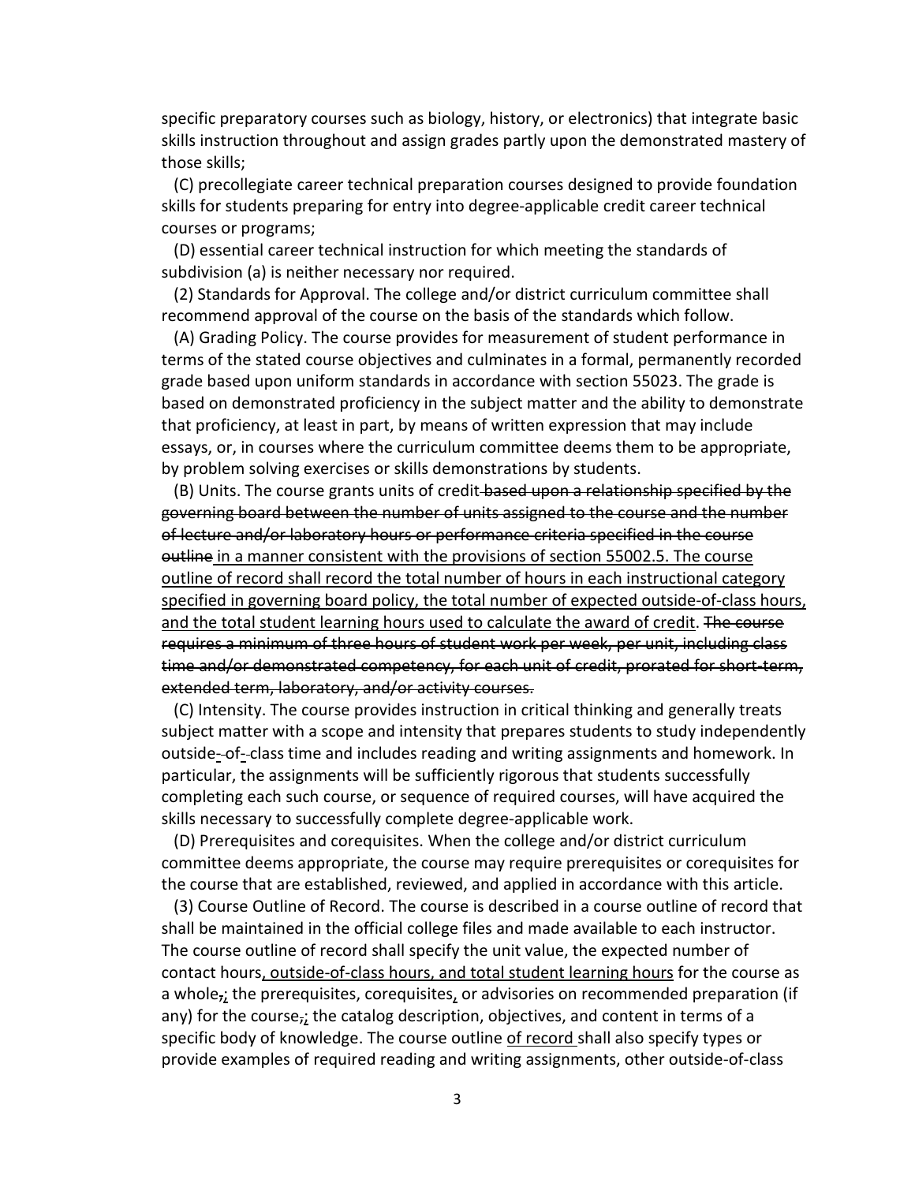specific preparatory courses such as biology, history, or electronics) that integrate basic skills instruction throughout and assign grades partly upon the demonstrated mastery of those skills;

 (C) precollegiate career technical preparation courses designed to provide foundation skills for students preparing for entry into degree-applicable credit career technical courses or programs;

 (D) essential career technical instruction for which meeting the standards of subdivision (a) is neither necessary nor required.

 (2) Standards for Approval. The college and/or district curriculum committee shall recommend approval of the course on the basis of the standards which follow.

 (A) Grading Policy. The course provides for measurement of student performance in terms of the stated course objectives and culminates in a formal, permanently recorded grade based upon uniform standards in accordance with section 55023. The grade is based on demonstrated proficiency in the subject matter and the ability to demonstrate that proficiency, at least in part, by means of written expression that may include essays, or, in courses where the curriculum committee deems them to be appropriate, by problem solving exercises or skills demonstrations by students.

(B) Units. The course grants units of credit-based upon a relationship specified by the governing board between the number of units assigned to the course and the number of lecture and/or laboratory hours or performance criteria specified in the course outline in a manner consistent with the provisions of section 55002.5. The course outline of record shall record the total number of hours in each instructional category specified in governing board policy, the total number of expected outside-of-class hours, and the total student learning hours used to calculate the award of credit. The course requires a minimum of three hours of student work per week, per unit, including class time and/or demonstrated competency, for each unit of credit, prorated for short-term, extended term, laboratory, and/or activity courses.

 (C) Intensity. The course provides instruction in critical thinking and generally treats subject matter with a scope and intensity that prepares students to study independently outside-of-class time and includes reading and writing assignments and homework. In particular, the assignments will be sufficiently rigorous that students successfully completing each such course, or sequence of required courses, will have acquired the skills necessary to successfully complete degree-applicable work.

 (D) Prerequisites and corequisites. When the college and/or district curriculum committee deems appropriate, the course may require prerequisites or corequisites for the course that are established, reviewed, and applied in accordance with this article.

 (3) Course Outline of Record. The course is described in a course outline of record that shall be maintained in the official college files and made available to each instructor. The course outline of record shall specify the unit value, the expected number of contact hours, outside-of-class hours, and total student learning hours for the course as a whole<sub>r</sub>; the prerequisites, corequisites, or advisories on recommended preparation (if any) for the course $\frac{1}{2}$  the catalog description, objectives, and content in terms of a specific body of knowledge. The course outline of record shall also specify types or provide examples of required reading and writing assignments, other outside-of-class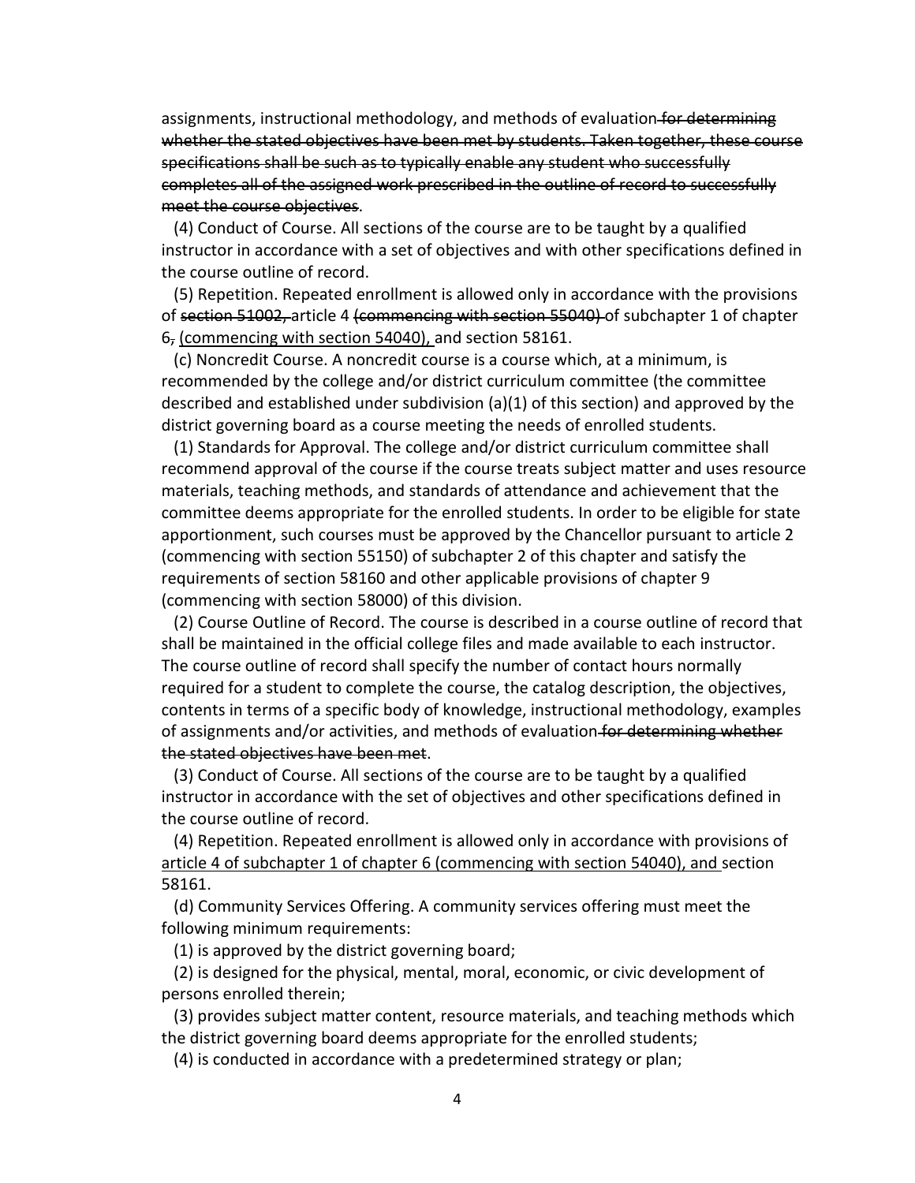assignments, instructional methodology, and methods of evaluation for determining whether the stated objectives have been met by students. Taken together, these course specifications shall be such as to typically enable any student who successfully completes all of the assigned work prescribed in the outline of record to successfully meet the course objectives.

 (4) Conduct of Course. All sections of the course are to be taught by a qualified instructor in accordance with a set of objectives and with other specifications defined in the course outline of record.

 (5) Repetition. Repeated enrollment is allowed only in accordance with the provisions of section 51002, article 4 (commencing with section 55040) of subchapter 1 of chapter 6, (commencing with section 54040), and section 58161.

 (c) Noncredit Course. A noncredit course is a course which, at a minimum, is recommended by the college and/or district curriculum committee (the committee described and established under subdivision (a)(1) of this section) and approved by the district governing board as a course meeting the needs of enrolled students.

 (1) Standards for Approval. The college and/or district curriculum committee shall recommend approval of the course if the course treats subject matter and uses resource materials, teaching methods, and standards of attendance and achievement that the committee deems appropriate for the enrolled students. In order to be eligible for state apportionment, such courses must be approved by the Chancellor pursuant to article 2 (commencing with section 55150) of subchapter 2 of this chapter and satisfy the requirements of section 58160 and other applicable provisions of chapter 9 (commencing with section 58000) of this division.

 (2) Course Outline of Record. The course is described in a course outline of record that shall be maintained in the official college files and made available to each instructor. The course outline of record shall specify the number of contact hours normally required for a student to complete the course, the catalog description, the objectives, contents in terms of a specific body of knowledge, instructional methodology, examples of assignments and/or activities, and methods of evaluation for determining whether the stated objectives have been met.

 (3) Conduct of Course. All sections of the course are to be taught by a qualified instructor in accordance with the set of objectives and other specifications defined in the course outline of record.

 (4) Repetition. Repeated enrollment is allowed only in accordance with provisions of article 4 of subchapter 1 of chapter 6 (commencing with section 54040), and section 58161.

 (d) Community Services Offering. A community services offering must meet the following minimum requirements:

(1) is approved by the district governing board;

 (2) is designed for the physical, mental, moral, economic, or civic development of persons enrolled therein;

 (3) provides subject matter content, resource materials, and teaching methods which the district governing board deems appropriate for the enrolled students;

(4) is conducted in accordance with a predetermined strategy or plan;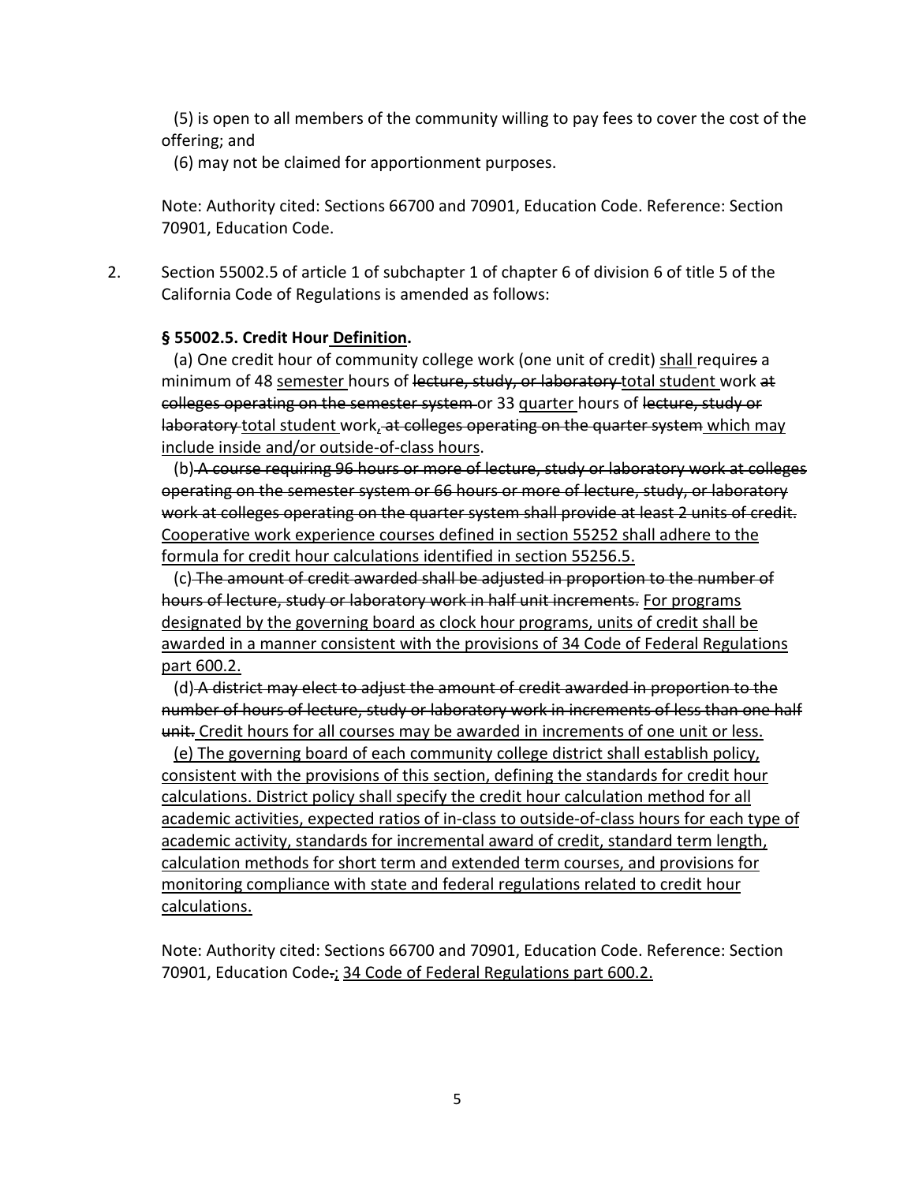(5) is open to all members of the community willing to pay fees to cover the cost of the offering; and

(6) may not be claimed for apportionment purposes.

Note: Authority cited: Sections 66700 and 70901, Education Code. Reference: Section 70901, Education Code.

2. Section 55002.5 of article 1 of subchapter 1 of chapter 6 of division 6 of title 5 of the California Code of Regulations is amended as follows:

# **§ 55002.5. Credit Hour Definition.**

(a) One credit hour of community college work (one unit of credit) shall requires a minimum of 48 semester hours of lecture, study, or laboratory total student work at colleges operating on the semester system or 33 quarter hours of lecture, study or laboratory total student work, at colleges operating on the quarter system which may include inside and/or outside-of-class hours.

 (b) A course requiring 96 hours or more of lecture, study or laboratory work at colleges operating on the semester system or 66 hours or more of lecture, study, or laboratory work at colleges operating on the quarter system shall provide at least 2 units of credit. Cooperative work experience courses defined in section 55252 shall adhere to the formula for credit hour calculations identified in section 55256.5.

 (c) The amount of credit awarded shall be adjusted in proportion to the number of hours of lecture, study or laboratory work in half unit increments. For programs designated by the governing board as clock hour programs, units of credit shall be awarded in a manner consistent with the provisions of 34 Code of Federal Regulations part 600.2.

 (d) A district may elect to adjust the amount of credit awarded in proportion to the number of hours of lecture, study or laboratory work in increments of less than one half unit. Credit hours for all courses may be awarded in increments of one unit or less.

 (e) The governing board of each community college district shall establish policy, consistent with the provisions of this section, defining the standards for credit hour calculations. District policy shall specify the credit hour calculation method for all academic activities, expected ratios of in-class to outside-of-class hours for each type of academic activity, standards for incremental award of credit, standard term length, calculation methods for short term and extended term courses, and provisions for monitoring compliance with state and federal regulations related to credit hour calculations.

Note: Authority cited: Sections 66700 and 70901, Education Code. Reference: Section 70901, Education Code.; 34 Code of Federal Regulations part 600.2.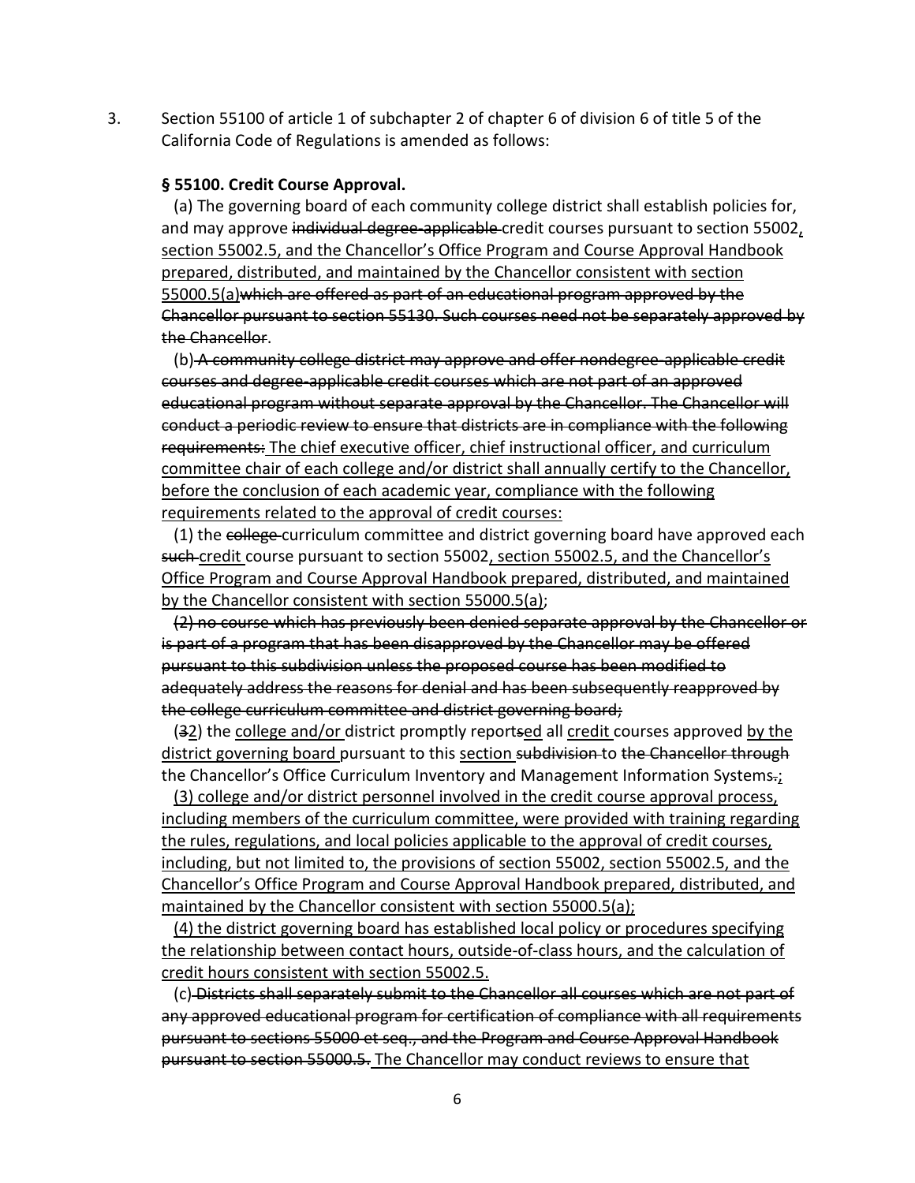3. Section 55100 of article 1 of subchapter 2 of chapter 6 of division 6 of title 5 of the California Code of Regulations is amended as follows:

# **§ 55100. Credit Course Approval.**

 (a) The governing board of each community college district shall establish policies for, and may approve individual degree-applicable-credit courses pursuant to section 55002, section 55002.5, and the Chancellor's Office Program and Course Approval Handbook prepared, distributed, and maintained by the Chancellor consistent with section 55000.5(a)which are offered as part of an educational program approved by the Chancellor pursuant to section 55130. Such courses need not be separately approved by the Chancellor.

 (b) A community college district may approve and offer nondegree-applicable credit courses and degree-applicable credit courses which are not part of an approved educational program without separate approval by the Chancellor. The Chancellor will conduct a periodic review to ensure that districts are in compliance with the following requirements: The chief executive officer, chief instructional officer, and curriculum committee chair of each college and/or district shall annually certify to the Chancellor, before the conclusion of each academic year, compliance with the following requirements related to the approval of credit courses:

(1) the college curriculum committee and district governing board have approved each such credit course pursuant to section 55002, section 55002.5, and the Chancellor's Office Program and Course Approval Handbook prepared, distributed, and maintained by the Chancellor consistent with section 55000.5(a);

 (2) no course which has previously been denied separate approval by the Chancellor or is part of a program that has been disapproved by the Chancellor may be offered pursuant to this subdivision unless the proposed course has been modified to adequately address the reasons for denial and has been subsequently reapproved by the college curriculum committee and district governing board;

(32) the college and/or district promptly reportsed all credit courses approved by the district governing board pursuant to this section subdivision to the Chancellor through the Chancellor's Office Curriculum Inventory and Management Information Systems.;

 (3) college and/or district personnel involved in the credit course approval process, including members of the curriculum committee, were provided with training regarding the rules, regulations, and local policies applicable to the approval of credit courses, including, but not limited to, the provisions of section 55002, section 55002.5, and the Chancellor's Office Program and Course Approval Handbook prepared, distributed, and maintained by the Chancellor consistent with section 55000.5(a);

 (4) the district governing board has established local policy or procedures specifying the relationship between contact hours, outside-of-class hours, and the calculation of credit hours consistent with section 55002.5.

 (c) Districts shall separately submit to the Chancellor all courses which are not part of any approved educational program for certification of compliance with all requirements pursuant to sections 55000 et seq., and the Program and Course Approval Handbook pursuant to section 55000.5. The Chancellor may conduct reviews to ensure that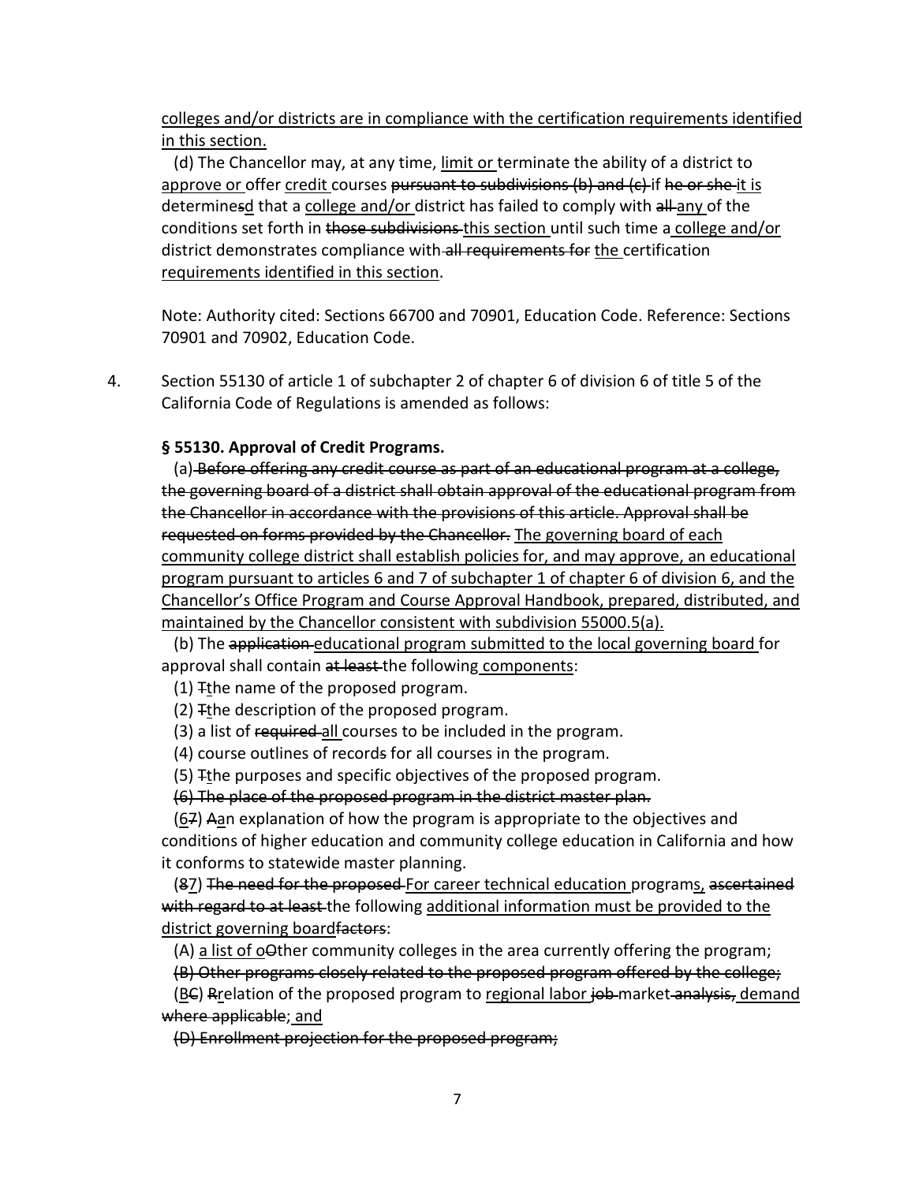colleges and/or districts are in compliance with the certification requirements identified in this section.

 (d) The Chancellor may, at any time, limit or terminate the ability of a district to approve or offer credit courses pursuant to subdivisions  $(b)$  and  $(c)$  if he or she-it is determinesd that a college and/or district has failed to comply with all any of the conditions set forth in those subdivisions this section until such time a college and/or district demonstrates compliance with all requirements for the certification requirements identified in this section.

Note: Authority cited: Sections 66700 and 70901, Education Code. Reference: Sections 70901 and 70902, Education Code.

4. Section 55130 of article 1 of subchapter 2 of chapter 6 of division 6 of title 5 of the California Code of Regulations is amended as follows:

**§ 55130. Approval of Credit Programs.**

 (a) Before offering any credit course as part of an educational program at a college, the governing board of a district shall obtain approval of the educational program from the Chancellor in accordance with the provisions of this article. Approval shall be requested on forms provided by the Chancellor. The governing board of each community college district shall establish policies for, and may approve, an educational program pursuant to articles 6 and 7 of subchapter 1 of chapter 6 of division 6, and the Chancellor's Office Program and Course Approval Handbook, prepared, distributed, and maintained by the Chancellor consistent with subdivision 55000.5(a).

(b) The application educational program submitted to the local governing board for approval shall contain at least-the following components:

(1)  $F$ the name of the proposed program.

(2) Tthe description of the proposed program.

(3) a list of required all courses to be included in the program.

(4) course outlines of records for all courses in the program.

(5) Tthe purposes and specific objectives of the proposed program.

(6) The place of the proposed program in the district master plan.

 $(67)$  Aan explanation of how the program is appropriate to the objectives and conditions of higher education and community college education in California and how it conforms to statewide master planning.

(87) The need for the proposed For career technical education programs, ascertained with regard to at least the following additional information must be provided to the district governing board factors:

 $(A)$  a list of o $\Theta$ ther community colleges in the area currently offering the program;

(B) Other programs closely related to the proposed program offered by the college;

(BC) Rrelation of the proposed program to regional labor job market analysis, demand where applicable; and

(D) Enrollment projection for the proposed program;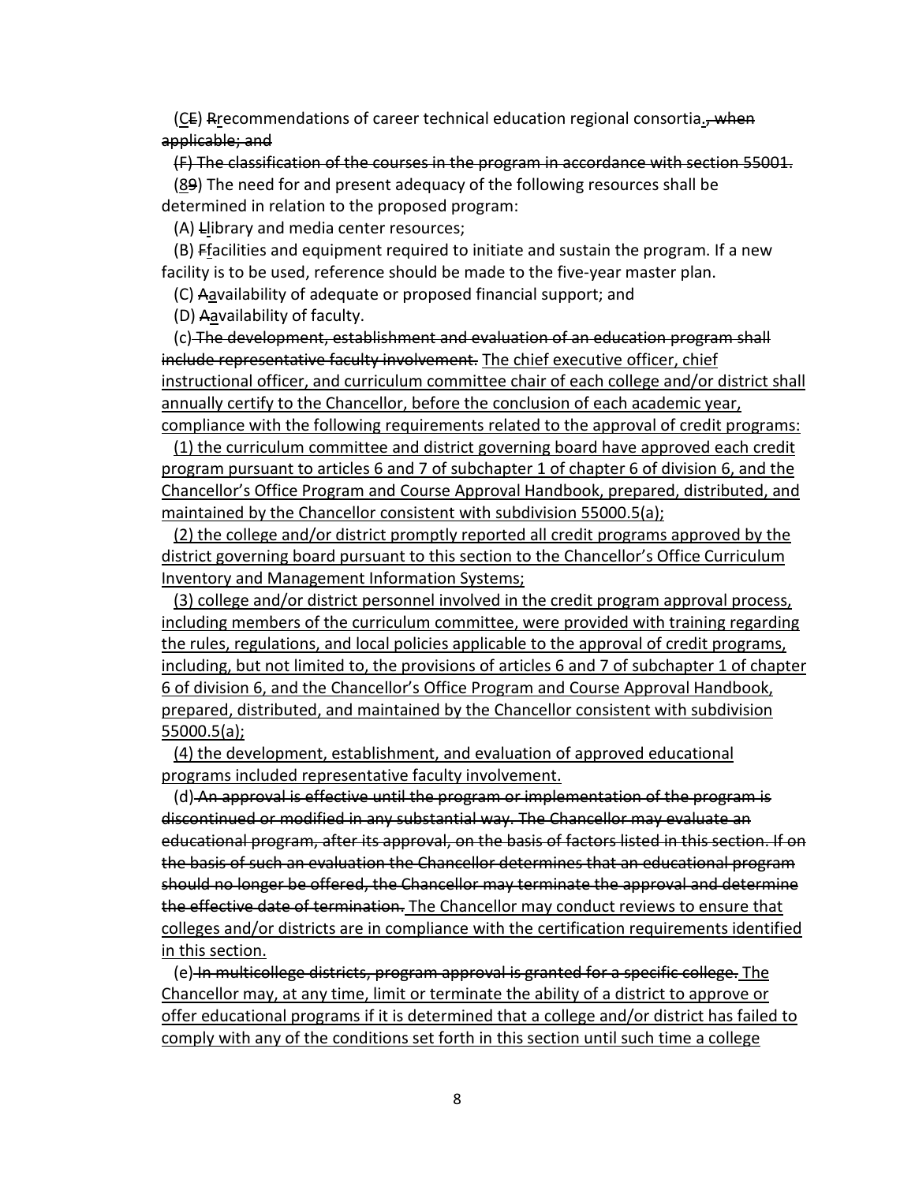(CE) Rrecommendations of career technical education regional consortia., when applicable; and

 (F) The classification of the courses in the program in accordance with section 55001. (89) The need for and present adequacy of the following resources shall be determined in relation to the proposed program:

(A) Llibrary and media center resources;

 (B) Ffacilities and equipment required to initiate and sustain the program. If a new facility is to be used, reference should be made to the five-year master plan.

(C) Aavailability of adequate or proposed financial support; and

(D) Aavailability of faculty.

 (c) The development, establishment and evaluation of an education program shall include representative faculty involvement. The chief executive officer, chief instructional officer, and curriculum committee chair of each college and/or district shall annually certify to the Chancellor, before the conclusion of each academic year, compliance with the following requirements related to the approval of credit programs:

 (1) the curriculum committee and district governing board have approved each credit program pursuant to articles 6 and 7 of subchapter 1 of chapter 6 of division 6, and the Chancellor's Office Program and Course Approval Handbook, prepared, distributed, and maintained by the Chancellor consistent with subdivision 55000.5(a);

 (2) the college and/or district promptly reported all credit programs approved by the district governing board pursuant to this section to the Chancellor's Office Curriculum Inventory and Management Information Systems;

 (3) college and/or district personnel involved in the credit program approval process, including members of the curriculum committee, were provided with training regarding the rules, regulations, and local policies applicable to the approval of credit programs, including, but not limited to, the provisions of articles 6 and 7 of subchapter 1 of chapter 6 of division 6, and the Chancellor's Office Program and Course Approval Handbook, prepared, distributed, and maintained by the Chancellor consistent with subdivision 55000.5(a);

 (4) the development, establishment, and evaluation of approved educational programs included representative faculty involvement.

 (d) An approval is effective until the program or implementation of the program is discontinued or modified in any substantial way. The Chancellor may evaluate an educational program, after its approval, on the basis of factors listed in this section. If on the basis of such an evaluation the Chancellor determines that an educational program should no longer be offered, the Chancellor may terminate the approval and determine the effective date of termination. The Chancellor may conduct reviews to ensure that colleges and/or districts are in compliance with the certification requirements identified in this section.

 (e) In multicollege districts, program approval is granted for a specific college. The Chancellor may, at any time, limit or terminate the ability of a district to approve or offer educational programs if it is determined that a college and/or district has failed to comply with any of the conditions set forth in this section until such time a college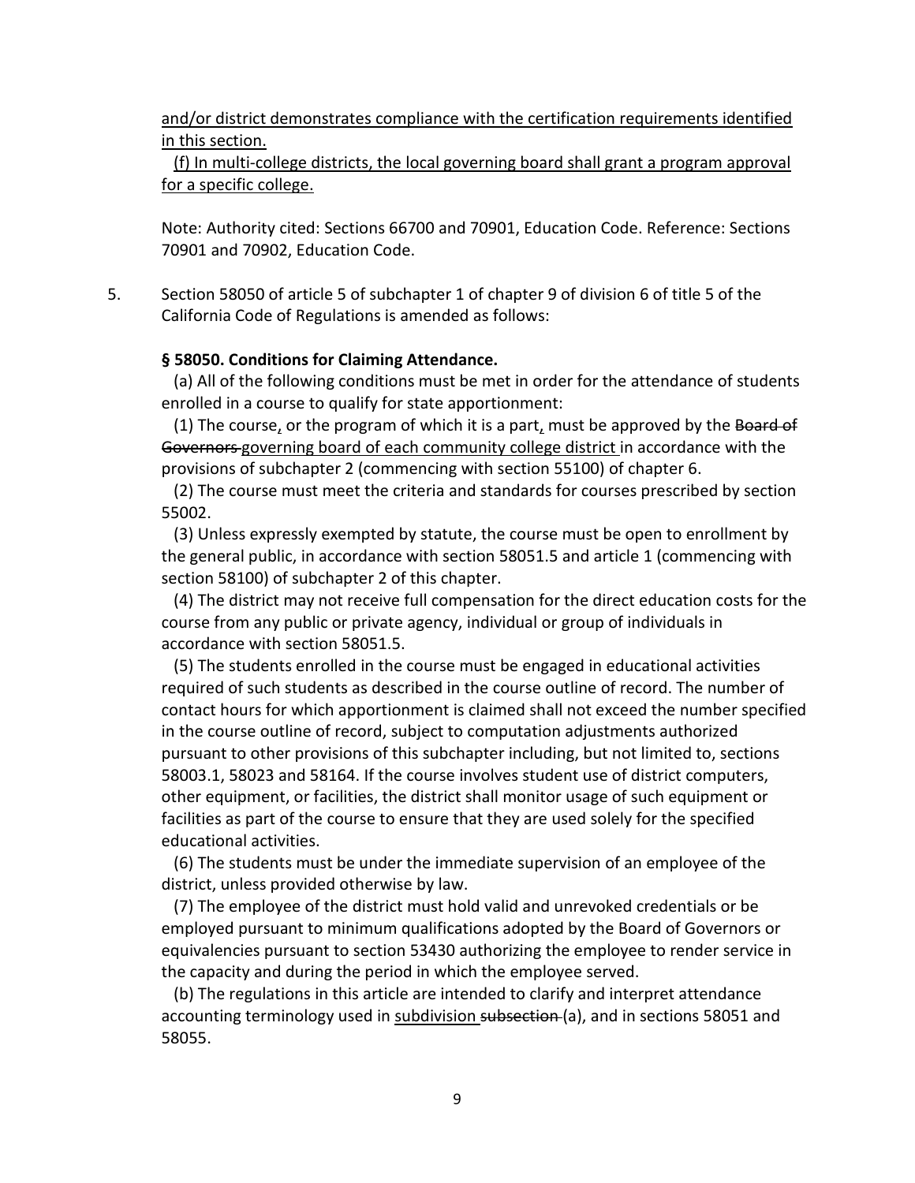and/or district demonstrates compliance with the certification requirements identified in this section.

 (f) In multi-college districts, the local governing board shall grant a program approval for a specific college.

Note: Authority cited: Sections 66700 and 70901, Education Code. Reference: Sections 70901 and 70902, Education Code.

5. Section 58050 of article 5 of subchapter 1 of chapter 9 of division 6 of title 5 of the California Code of Regulations is amended as follows:

# **§ 58050. Conditions for Claiming Attendance.**

 (a) All of the following conditions must be met in order for the attendance of students enrolled in a course to qualify for state apportionment:

(1) The course, or the program of which it is a part, must be approved by the Board of Governors governing board of each community college district in accordance with the provisions of subchapter 2 (commencing with section 55100) of chapter 6.

 (2) The course must meet the criteria and standards for courses prescribed by section 55002.

 (3) Unless expressly exempted by statute, the course must be open to enrollment by the general public, in accordance with section 58051.5 and article 1 (commencing with section 58100) of subchapter 2 of this chapter.

 (4) The district may not receive full compensation for the direct education costs for the course from any public or private agency, individual or group of individuals in accordance with section 58051.5.

 (5) The students enrolled in the course must be engaged in educational activities required of such students as described in the course outline of record. The number of contact hours for which apportionment is claimed shall not exceed the number specified in the course outline of record, subject to computation adjustments authorized pursuant to other provisions of this subchapter including, but not limited to, sections 58003.1, 58023 and 58164. If the course involves student use of district computers, other equipment, or facilities, the district shall monitor usage of such equipment or facilities as part of the course to ensure that they are used solely for the specified educational activities.

 (6) The students must be under the immediate supervision of an employee of the district, unless provided otherwise by law.

 (7) The employee of the district must hold valid and unrevoked credentials or be employed pursuant to minimum qualifications adopted by the Board of Governors or equivalencies pursuant to section 53430 authorizing the employee to render service in the capacity and during the period in which the employee served.

 (b) The regulations in this article are intended to clarify and interpret attendance accounting terminology used in subdivision subsection (a), and in sections 58051 and 58055.